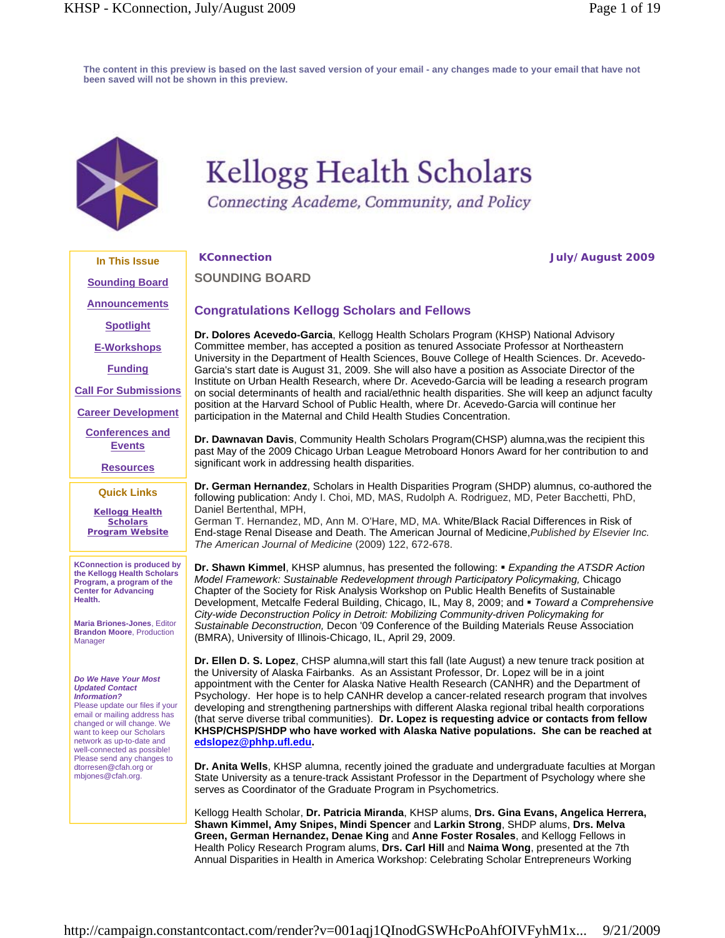**The content in this preview is based on the last saved version of your email - any changes made to your email that have not been saved will not be shown in this preview.** 



# **Kellogg Health Scholars**

Connecting Academe, Community, and Policy

**SOUNDING BOARD**

**KConnection July/August 2009**

## **Congratulations Kellogg Scholars and Fellows**

**Dr. Dolores Acevedo-Garcia**, Kellogg Health Scholars Program (KHSP) National Advisory Committee member, has accepted a position as tenured Associate Professor at Northeastern University in the Department of Health Sciences, Bouve College of Health Sciences. Dr. Acevedo-Garcia's start date is August 31, 2009. She will also have a position as Associate Director of the Institute on Urban Health Research, where Dr. Acevedo-Garcia will be leading a research program on social determinants of health and racial/ethnic health disparities. She will keep an adjunct faculty position at the Harvard School of Public Health, where Dr. Acevedo-Garcia will continue her participation in the Maternal and Child Health Studies Concentration.

**Dr. Dawnavan Davis**, Community Health Scholars Program(CHSP) alumna,was the recipient this past May of the 2009 Chicago Urban League Metroboard Honors Award for her contribution to and significant work in addressing health disparities.

**Dr. German Hernandez**, Scholars in Health Disparities Program (SHDP) alumnus, co-authored the following publication: Andy I. Choi, MD, MAS, Rudolph A. Rodriguez, MD, Peter Bacchetti, PhD, Daniel Bertenthal, MPH,

German T. Hernandez, MD, Ann M. O'Hare, MD, MA. White/Black Racial Differences in Risk of End-stage Renal Disease and Death. The American Journal of Medicine,*Published by Elsevier Inc. The American Journal of Medicine* (2009) 122, 672-678.

**Dr. Shawn Kimmel**, KHSP alumnus, has presented the following: *Expanding the ATSDR Action Model Framework: Sustainable Redevelopment through Participatory Policymaking,* Chicago Chapter of the Society for Risk Analysis Workshop on Public Health Benefits of Sustainable Development, Metcalfe Federal Building, Chicago, IL, May 8, 2009; and *Toward a Comprehensive City-wide Deconstruction Policy in Detroit: Mobilizing Community-driven Policymaking for Sustainable Deconstruction,* Decon '09 Conference of the Building Materials Reuse Association (BMRA), University of Illinois-Chicago, IL, April 29, 2009.

**Dr. Ellen D. S. Lopez**, CHSP alumna,will start this fall (late August) a new tenure track position at the University of Alaska Fairbanks. As an Assistant Professor, Dr. Lopez will be in a joint appointment with the Center for Alaska Native Health Research (CANHR) and the Department of Psychology. Her hope is to help CANHR develop a cancer-related research program that involves developing and strengthening partnerships with different Alaska regional tribal health corporations (that serve diverse tribal communities). **Dr. Lopez is requesting advice or contacts from fellow KHSP/CHSP/SHDP who have worked with Alaska Native populations. She can be reached at edslopez@phhp.ufl.edu.**

**Dr. Anita Wells**, KHSP alumna, recently joined the graduate and undergraduate faculties at Morgan State University as a tenure-track Assistant Professor in the Department of Psychology where she serves as Coordinator of the Graduate Program in Psychometrics.

Kellogg Health Scholar, **Dr. Patricia Miranda**, KHSP alums, **Drs. Gina Evans, Angelica Herrera, Shawn Kimmel, Amy Snipes, Mindi Spencer** and **Larkin Strong**, SHDP alums, **Drs. Melva Green, German Hernandez, Denae King** and **Anne Foster Rosales**, and Kellogg Fellows in Health Policy Research Program alums, **Drs. Carl Hill** and **Naima Wong**, presented at the 7th Annual Disparities in Health in America Workshop: Celebrating Scholar Entrepreneurs Working

**Sounding Board Announcements**

**In This Issue**

**Spotlight**

**E-Workshops**

**Funding**

**Call For Submissions**

**Career Development**

**Conferences and Events**

**Resources**

## **Quick Links**

**Kellogg Health Scholars Program Website**

**KConnection is produced by the Kellogg Health Scholars Program, a program of the Center for Advancing Health.**

**Maria Briones-Jones**, Editor **Brandon Moore**, Production Manager

#### *Do We Have Your Most Updated Contact Information?*

Please update our files if your email or mailing address has changed or will change. We want to keep our Scholars network as up-to-date and well-connected as possible! Please send any changes to dtorresen@cfah.org or mbjones@cfah.org.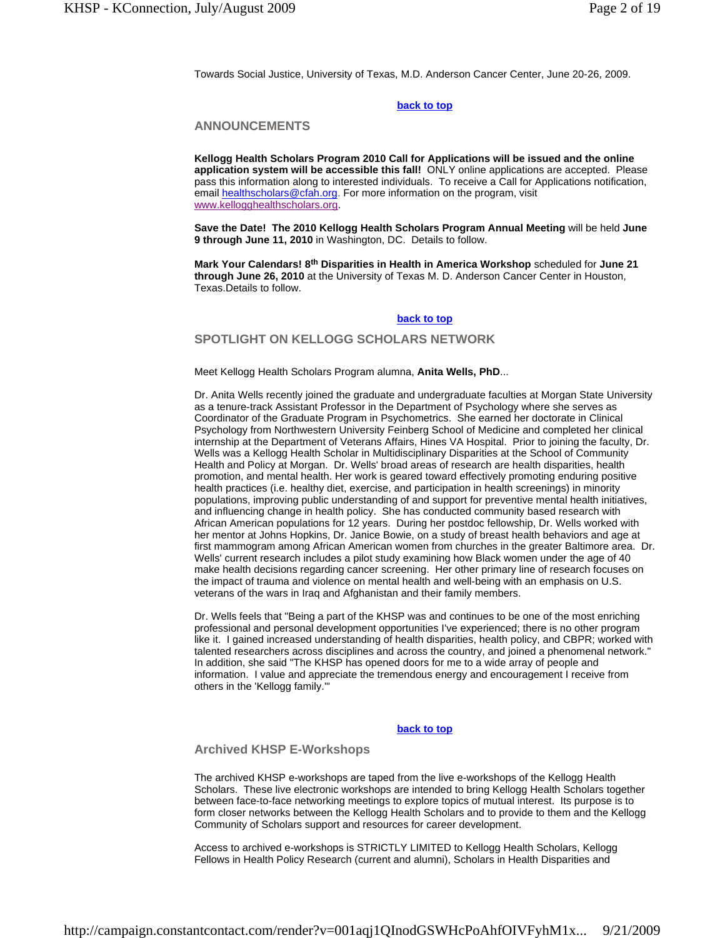Towards Social Justice, University of Texas, M.D. Anderson Cancer Center, June 20-26, 2009.

#### **back to top**

## **ANNOUNCEMENTS**

**Kellogg Health Scholars Program 2010 Call for Applications will be issued and the online application system will be accessible this fall!** ONLY online applications are accepted. Please pass this information along to interested individuals. To receive a Call for Applications notification, email healthscholars@cfah.org. For more information on the program, visit www.kellogghealthscholars.org.

**Save the Date! The 2010 Kellogg Health Scholars Program Annual Meeting** will be held **June 9 through June 11, 2010** in Washington, DC. Details to follow.

**Mark Your Calendars! 8th Disparities in Health in America Workshop** scheduled for **June 21 through June 26, 2010** at the University of Texas M. D. Anderson Cancer Center in Houston, Texas.Details to follow.

#### **back to top**

## **SPOTLIGHT ON KELLOGG SCHOLARS NETWORK**

#### Meet Kellogg Health Scholars Program alumna, **Anita Wells, PhD**...

Dr. Anita Wells recently joined the graduate and undergraduate faculties at Morgan State University as a tenure-track Assistant Professor in the Department of Psychology where she serves as Coordinator of the Graduate Program in Psychometrics. She earned her doctorate in Clinical Psychology from Northwestern University Feinberg School of Medicine and completed her clinical internship at the Department of Veterans Affairs, Hines VA Hospital. Prior to joining the faculty, Dr. Wells was a Kellogg Health Scholar in Multidisciplinary Disparities at the School of Community Health and Policy at Morgan. Dr. Wells' broad areas of research are health disparities, health promotion, and mental health. Her work is geared toward effectively promoting enduring positive health practices (i.e. healthy diet, exercise, and participation in health screenings) in minority populations, improving public understanding of and support for preventive mental health initiatives, and influencing change in health policy. She has conducted community based research with African American populations for 12 years. During her postdoc fellowship, Dr. Wells worked with her mentor at Johns Hopkins, Dr. Janice Bowie, on a study of breast health behaviors and age at first mammogram among African American women from churches in the greater Baltimore area. Dr. Wells' current research includes a pilot study examining how Black women under the age of 40 make health decisions regarding cancer screening. Her other primary line of research focuses on the impact of trauma and violence on mental health and well-being with an emphasis on U.S. veterans of the wars in Iraq and Afghanistan and their family members.

Dr. Wells feels that "Being a part of the KHSP was and continues to be one of the most enriching professional and personal development opportunities I've experienced; there is no other program like it. I gained increased understanding of health disparities, health policy, and CBPR; worked with talented researchers across disciplines and across the country, and joined a phenomenal network." In addition, she said "The KHSP has opened doors for me to a wide array of people and information. I value and appreciate the tremendous energy and encouragement I receive from others in the 'Kellogg family.'"

#### **back to top**

#### **Archived KHSP E-Workshops**

The archived KHSP e-workshops are taped from the live e-workshops of the Kellogg Health Scholars. These live electronic workshops are intended to bring Kellogg Health Scholars together between face-to-face networking meetings to explore topics of mutual interest. Its purpose is to form closer networks between the Kellogg Health Scholars and to provide to them and the Kellogg Community of Scholars support and resources for career development.

Access to archived e-workshops is STRICTLY LIMITED to Kellogg Health Scholars, Kellogg Fellows in Health Policy Research (current and alumni), Scholars in Health Disparities and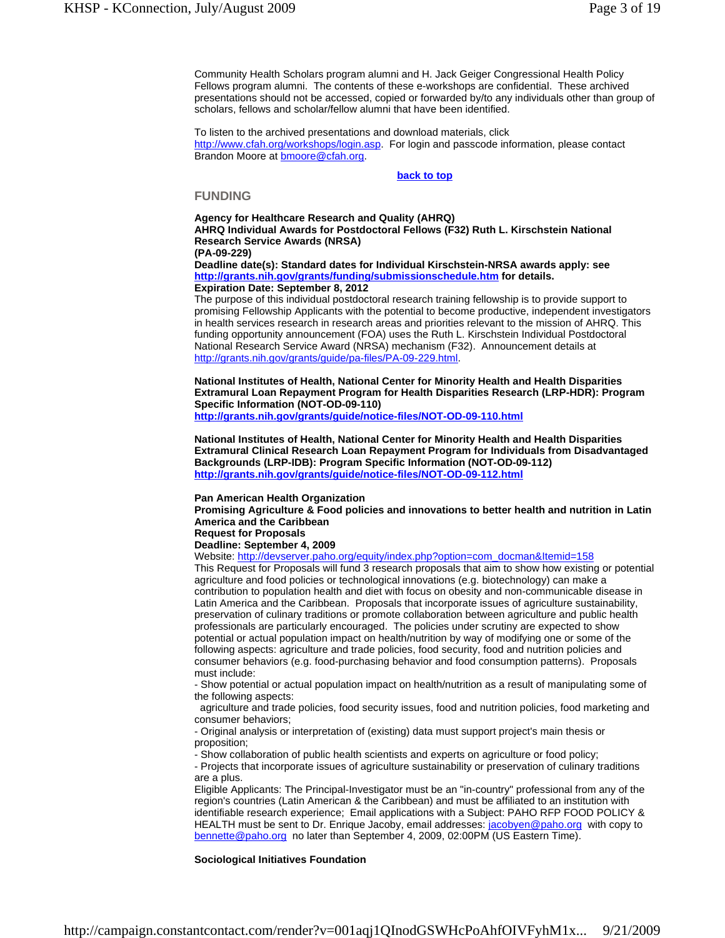Community Health Scholars program alumni and H. Jack Geiger Congressional Health Policy Fellows program alumni. The contents of these e-workshops are confidential. These archived presentations should not be accessed, copied or forwarded by/to any individuals other than group of scholars, fellows and scholar/fellow alumni that have been identified.

To listen to the archived presentations and download materials, click http://www.cfah.org/workshops/login.asp. For login and passcode information, please contact Brandon Moore at bmoore@cfah.org.

#### **back to top**

#### **FUNDING**

**Agency for Healthcare Research and Quality (AHRQ) AHRQ Individual Awards for Postdoctoral Fellows (F32) Ruth L. Kirschstein National Research Service Awards (NRSA) (PA-09-229)**

**Deadline date(s): Standard dates for Individual Kirschstein-NRSA awards apply: see http://grants.nih.gov/grants/funding/submissionschedule.htm for details. Expiration Date: September 8, 2012**

The purpose of this individual postdoctoral research training fellowship is to provide support to promising Fellowship Applicants with the potential to become productive, independent investigators in health services research in research areas and priorities relevant to the mission of AHRQ. This funding opportunity announcement (FOA) uses the Ruth L. Kirschstein Individual Postdoctoral National Research Service Award (NRSA) mechanism (F32). Announcement details at http://grants.nih.gov/grants/guide/pa-files/PA-09-229.html.

**National Institutes of Health, National Center for Minority Health and Health Disparities Extramural Loan Repayment Program for Health Disparities Research (LRP-HDR): Program Specific Information (NOT-OD-09-110)** 

**http://grants.nih.gov/grants/guide/notice-files/NOT-OD-09-110.html**

**National Institutes of Health, National Center for Minority Health and Health Disparities Extramural Clinical Research Loan Repayment Program for Individuals from Disadvantaged Backgrounds (LRP-IDB): Program Specific Information (NOT-OD-09-112) http://grants.nih.gov/grants/guide/notice-files/NOT-OD-09-112.html**

#### **Pan American Health Organization**

**Promising Agriculture & Food policies and innovations to better health and nutrition in Latin America and the Caribbean Request for Proposals**

## **Deadline: September 4, 2009**

Website: http://devserver.paho.org/equity/index.php?option=com\_docman&Itemid=158

This Request for Proposals will fund 3 research proposals that aim to show how existing or potential agriculture and food policies or technological innovations (e.g. biotechnology) can make a contribution to population health and diet with focus on obesity and non-communicable disease in Latin America and the Caribbean. Proposals that incorporate issues of agriculture sustainability, preservation of culinary traditions or promote collaboration between agriculture and public health professionals are particularly encouraged. The policies under scrutiny are expected to show potential or actual population impact on health/nutrition by way of modifying one or some of the following aspects: agriculture and trade policies, food security, food and nutrition policies and consumer behaviors (e.g. food-purchasing behavior and food consumption patterns). Proposals must include:

- Show potential or actual population impact on health/nutrition as a result of manipulating some of the following aspects:

 agriculture and trade policies, food security issues, food and nutrition policies, food marketing and consumer behaviors;

- Original analysis or interpretation of (existing) data must support project's main thesis or proposition;

- Show collaboration of public health scientists and experts on agriculture or food policy;

- Projects that incorporate issues of agriculture sustainability or preservation of culinary traditions are a plus.

Eligible Applicants: The Principal-Investigator must be an "in-country" professional from any of the region's countries (Latin American & the Caribbean) and must be affiliated to an institution with identifiable research experience; Email applications with a Subject: PAHO RFP FOOD POLICY & HEALTH must be sent to Dr. Enrique Jacoby, email addresses: *jacobyen@paho.org* with copy to bennette@paho.org no later than September 4, 2009, 02:00PM (US Eastern Time).

#### **Sociological Initiatives Foundation**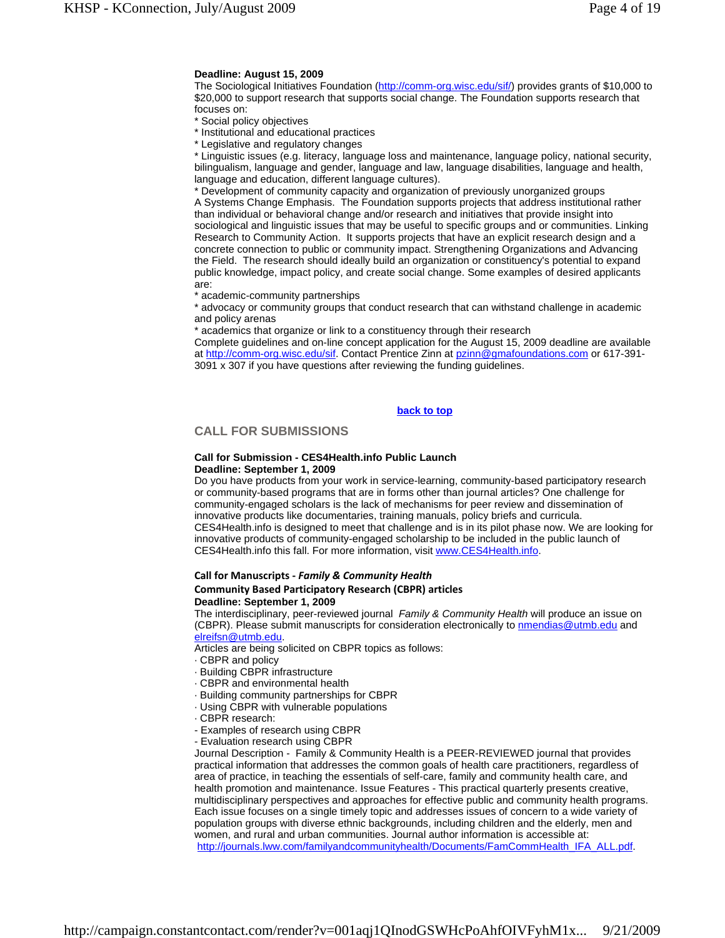#### **Deadline: August 15, 2009**

The Sociological Initiatives Foundation (http://comm-org.wisc.edu/sif/) provides grants of \$10,000 to \$20,000 to support research that supports social change. The Foundation supports research that focuses on:

- \* Social policy objectives
- \* Institutional and educational practices
- \* Legislative and regulatory changes

\* Linguistic issues (e.g. literacy, language loss and maintenance, language policy, national security, bilingualism, language and gender, language and law, language disabilities, language and health, language and education, different language cultures).

\* Development of community capacity and organization of previously unorganized groups A Systems Change Emphasis. The Foundation supports projects that address institutional rather than individual or behavioral change and/or research and initiatives that provide insight into sociological and linguistic issues that may be useful to specific groups and or communities. Linking Research to Community Action. It supports projects that have an explicit research design and a concrete connection to public or community impact. Strengthening Organizations and Advancing the Field. The research should ideally build an organization or constituency's potential to expand public knowledge, impact policy, and create social change. Some examples of desired applicants are:

\* academic-community partnerships

advocacy or community groups that conduct research that can withstand challenge in academic and policy arenas

academics that organize or link to a constituency through their research

Complete guidelines and on-line concept application for the August 15, 2009 deadline are available at http://comm-org.wisc.edu/sif. Contact Prentice Zinn at pzinn@gmafoundations.com or 617-391- 3091 x 307 if you have questions after reviewing the funding guidelines.

## **back to top**

## **CALL FOR SUBMISSIONS**

#### **Call for Submission - CES4Health.info Public Launch Deadline: September 1, 2009**

Do you have products from your work in service-learning, community-based participatory research or community-based programs that are in forms other than journal articles? One challenge for community-engaged scholars is the lack of mechanisms for peer review and dissemination of innovative products like documentaries, training manuals, policy briefs and curricula. CES4Health.info is designed to meet that challenge and is in its pilot phase now. We are looking for innovative products of community-engaged scholarship to be included in the public launch of CES4Health.info this fall. For more information, visit www.CES4Health.info.

## **Call for Manuscripts ‐** *Family & Community Health* **Community Based Participatory Research (CBPR) articles**

#### **Deadline: September 1, 2009**

The interdisciplinary, peer-reviewed journal *Family & Community Health* will produce an issue on (CBPR). Please submit manuscripts for consideration electronically to **nmendias@utmb.edu** and elreifsn@utmb.edu.

Articles are being solicited on CBPR topics as follows:

- · CBPR and policy
- · Building CBPR infrastructure
- · CBPR and environmental health
- · Building community partnerships for CBPR
- · Using CBPR with vulnerable populations
- · CBPR research:
- Examples of research using CBPR
- Evaluation research using CBPR

Journal Description - Family & Community Health is a PEER-REVIEWED journal that provides practical information that addresses the common goals of health care practitioners, regardless of area of practice, in teaching the essentials of self-care, family and community health care, and health promotion and maintenance. Issue Features - This practical quarterly presents creative, multidisciplinary perspectives and approaches for effective public and community health programs. Each issue focuses on a single timely topic and addresses issues of concern to a wide variety of population groups with diverse ethnic backgrounds, including children and the elderly, men and women, and rural and urban communities. Journal author information is accessible at: http://journals.lww.com/familyandcommunityhealth/Documents/FamCommHealth\_IFA\_ALL.pdf.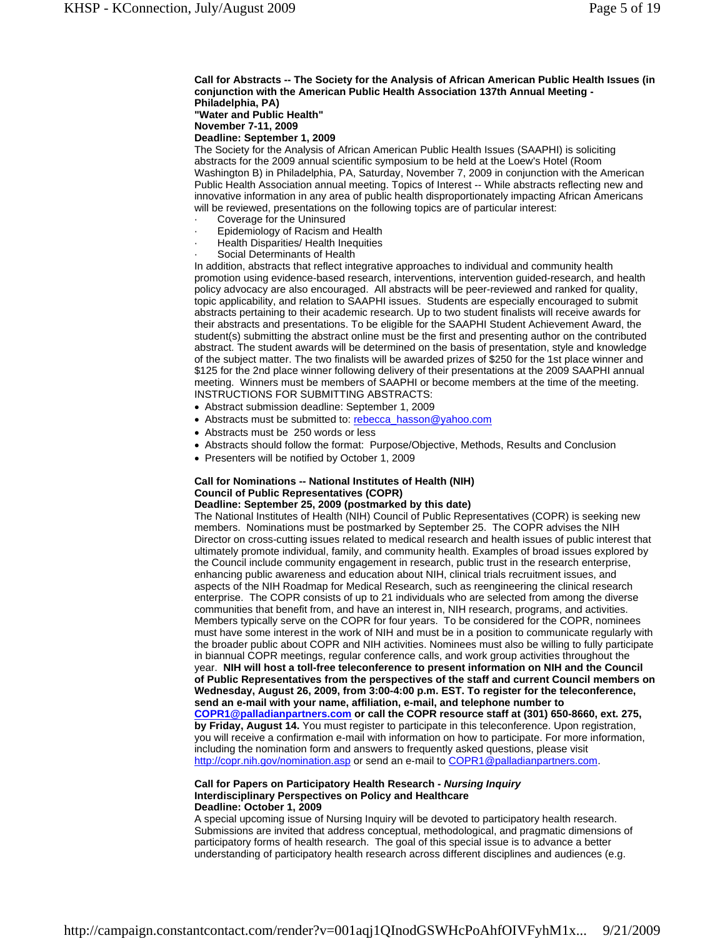#### **Call for Abstracts -- The Society for the Analysis of African American Public Health Issues (in conjunction with the American Public Health Association 137th Annual Meeting - Philadelphia, PA)**

**"Water and Public Health" November 7-11, 2009** 

**Deadline: September 1, 2009** 

The Society for the Analysis of African American Public Health Issues (SAAPHI) is soliciting abstracts for the 2009 annual scientific symposium to be held at the Loew's Hotel (Room Washington B) in Philadelphia, PA, Saturday, November 7, 2009 in conjunction with the American Public Health Association annual meeting. Topics of Interest -- While abstracts reflecting new and innovative information in any area of public health disproportionately impacting African Americans will be reviewed, presentations on the following topics are of particular interest:

- Coverage for the Uninsured
- Epidemiology of Racism and Health
- · Health Disparities/ Health Inequities
- Social Determinants of Health

In addition, abstracts that reflect integrative approaches to individual and community health promotion using evidence-based research, interventions, intervention guided-research, and health policy advocacy are also encouraged. All abstracts will be peer-reviewed and ranked for quality, topic applicability, and relation to SAAPHI issues. Students are especially encouraged to submit abstracts pertaining to their academic research. Up to two student finalists will receive awards for their abstracts and presentations. To be eligible for the SAAPHI Student Achievement Award, the student(s) submitting the abstract online must be the first and presenting author on the contributed abstract. The student awards will be determined on the basis of presentation, style and knowledge of the subject matter. The two finalists will be awarded prizes of \$250 for the 1st place winner and \$125 for the 2nd place winner following delivery of their presentations at the 2009 SAAPHI annual meeting. Winners must be members of SAAPHI or become members at the time of the meeting. INSTRUCTIONS FOR SUBMITTING ABSTRACTS:

- Abstract submission deadline: September 1, 2009
- Abstracts must be submitted to: rebecca\_hasson@yahoo.com
- Abstracts must be 250 words or less
- Abstracts should follow the format: Purpose/Objective, Methods, Results and Conclusion
- Presenters will be notified by October 1, 2009

## **Call for Nominations -- National Institutes of Health (NIH) Council of Public Representatives (COPR)**

## **Deadline: September 25, 2009 (postmarked by this date)**

The National Institutes of Health (NIH) Council of Public Representatives (COPR) is seeking new members. Nominations must be postmarked by September 25. The COPR advises the NIH Director on cross-cutting issues related to medical research and health issues of public interest that ultimately promote individual, family, and community health. Examples of broad issues explored by the Council include community engagement in research, public trust in the research enterprise, enhancing public awareness and education about NIH, clinical trials recruitment issues, and aspects of the NIH Roadmap for Medical Research, such as reengineering the clinical research enterprise. The COPR consists of up to 21 individuals who are selected from among the diverse communities that benefit from, and have an interest in, NIH research, programs, and activities. Members typically serve on the COPR for four years. To be considered for the COPR, nominees must have some interest in the work of NIH and must be in a position to communicate regularly with the broader public about COPR and NIH activities. Nominees must also be willing to fully participate in biannual COPR meetings, regular conference calls, and work group activities throughout the year. **NIH will host a toll-free teleconference to present information on NIH and the Council of Public Representatives from the perspectives of the staff and current Council members on Wednesday, August 26, 2009, from 3:00-4:00 p.m. EST. To register for the teleconference, send an e-mail with your name, affiliation, e-mail, and telephone number to COPR1@palladianpartners.com or call the COPR resource staff at (301) 650-8660, ext. 275, by Friday, August 14.** You must register to participate in this teleconference. Upon registration, you will receive a confirmation e-mail with information on how to participate. For more information, including the nomination form and answers to frequently asked questions, please visit http://copr.nih.gov/nomination.asp or send an e-mail to COPR1@palladianpartners.com.

#### **Call for Papers on Participatory Health Research -** *Nursing Inquiry*  **Interdisciplinary Perspectives on Policy and Healthcare Deadline: October 1, 2009**

A special upcoming issue of Nursing Inquiry will be devoted to participatory health research. Submissions are invited that address conceptual, methodological, and pragmatic dimensions of participatory forms of health research. The goal of this special issue is to advance a better understanding of participatory health research across different disciplines and audiences (e.g.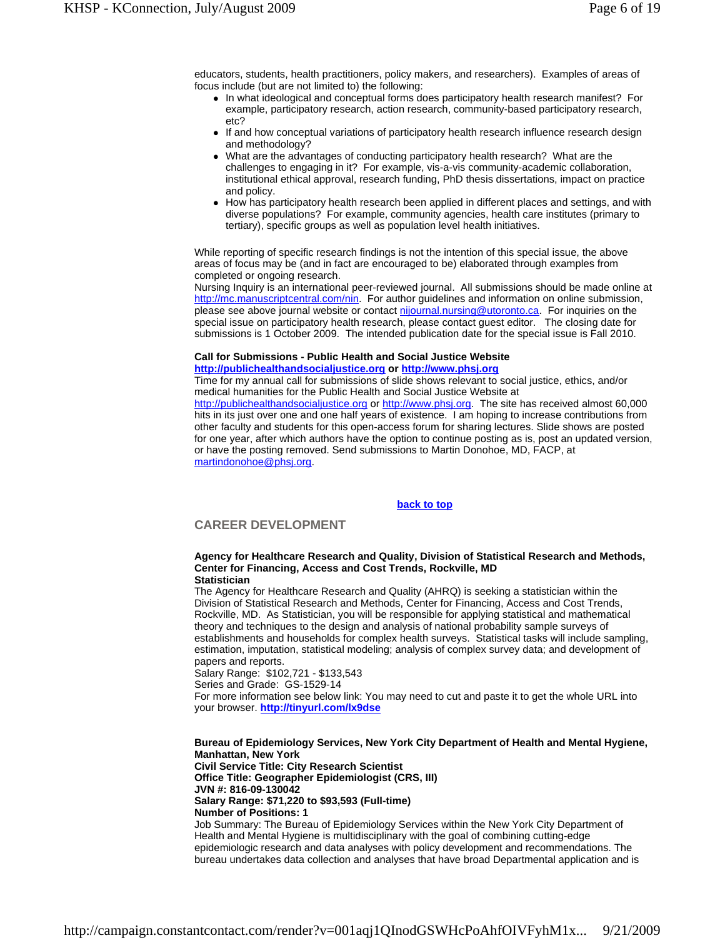educators, students, health practitioners, policy makers, and researchers). Examples of areas of focus include (but are not limited to) the following:

- In what ideological and conceptual forms does participatory health research manifest? For example, participatory research, action research, community-based participatory research, etc?
- If and how conceptual variations of participatory health research influence research design and methodology?
- What are the advantages of conducting participatory health research? What are the challenges to engaging in it? For example, vis-a-vis community-academic collaboration, institutional ethical approval, research funding, PhD thesis dissertations, impact on practice and policy.
- How has participatory health research been applied in different places and settings, and with diverse populations? For example, community agencies, health care institutes (primary to tertiary), specific groups as well as population level health initiatives.

While reporting of specific research findings is not the intention of this special issue, the above areas of focus may be (and in fact are encouraged to be) elaborated through examples from completed or ongoing research.

Nursing Inquiry is an international peer-reviewed journal. All submissions should be made online at http://mc.manuscriptcentral.com/nin. For author guidelines and information on online submission, please see above journal website or contact nijournal.nursing@utoronto.ca. For inquiries on the special issue on participatory health research, please contact guest editor. The closing date for submissions is 1 October 2009. The intended publication date for the special issue is Fall 2010.

#### **Call for Submissions - Public Health and Social Justice Website http://publichealthandsocialjustice.org or http://www.phsj.org**

Time for my annual call for submissions of slide shows relevant to social justice, ethics, and/or medical humanities for the Public Health and Social Justice Website at

http://publichealthandsocialjustice.org or http://www.phsj.org. The site has received almost 60,000 hits in its just over one and one half years of existence. I am hoping to increase contributions from other faculty and students for this open-access forum for sharing lectures. Slide shows are posted for one year, after which authors have the option to continue posting as is, post an updated version, or have the posting removed. Send submissions to Martin Donohoe, MD, FACP, at martindonohoe@phsj.org.

## **back to top**

## **CAREER DEVELOPMENT**

#### **Agency for Healthcare Research and Quality, Division of Statistical Research and Methods, Center for Financing, Access and Cost Trends, Rockville, MD Statistician**

The Agency for Healthcare Research and Quality (AHRQ) is seeking a statistician within the Division of Statistical Research and Methods, Center for Financing, Access and Cost Trends, Rockville, MD. As Statistician, you will be responsible for applying statistical and mathematical theory and techniques to the design and analysis of national probability sample surveys of establishments and households for complex health surveys. Statistical tasks will include sampling, estimation, imputation, statistical modeling; analysis of complex survey data; and development of papers and reports.

Salary Range: \$102,721 - \$133,543

Series and Grade: GS-1529-14

For more information see below link: You may need to cut and paste it to get the whole URL into your browser. **http://tinyurl.com/lx9dse**

**Bureau of Epidemiology Services, New York City Department of Health and Mental Hygiene, Manhattan, New York** 

**Civil Service Title: City Research Scientist Office Title: Geographer Epidemiologist (CRS, III) JVN #: 816-09-130042** 

**Salary Range: \$71,220 to \$93,593 (Full-time)** 

**Number of Positions: 1** 

Job Summary: The Bureau of Epidemiology Services within the New York City Department of Health and Mental Hygiene is multidisciplinary with the goal of combining cutting-edge epidemiologic research and data analyses with policy development and recommendations. The bureau undertakes data collection and analyses that have broad Departmental application and is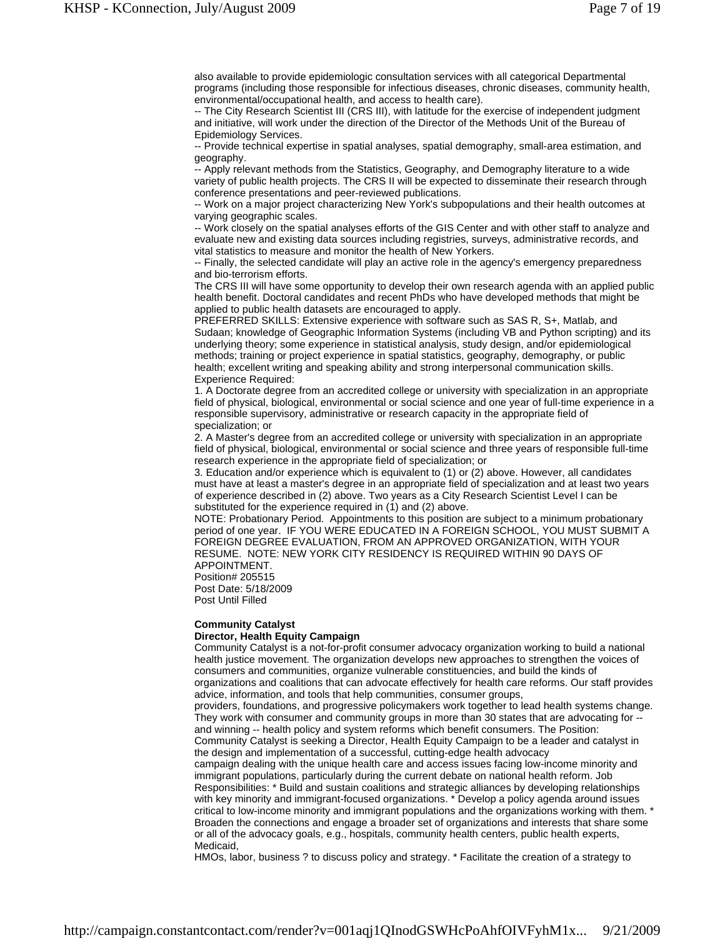also available to provide epidemiologic consultation services with all categorical Departmental programs (including those responsible for infectious diseases, chronic diseases, community health, environmental/occupational health, and access to health care).

-- The City Research Scientist III (CRS III), with latitude for the exercise of independent judgment and initiative, will work under the direction of the Director of the Methods Unit of the Bureau of Epidemiology Services.

-- Provide technical expertise in spatial analyses, spatial demography, small-area estimation, and geography.

-- Apply relevant methods from the Statistics, Geography, and Demography literature to a wide variety of public health projects. The CRS II will be expected to disseminate their research through conference presentations and peer-reviewed publications.

-- Work on a major project characterizing New York's subpopulations and their health outcomes at varying geographic scales.

-- Work closely on the spatial analyses efforts of the GIS Center and with other staff to analyze and evaluate new and existing data sources including registries, surveys, administrative records, and vital statistics to measure and monitor the health of New Yorkers.

-- Finally, the selected candidate will play an active role in the agency's emergency preparedness and bio-terrorism efforts.

The CRS III will have some opportunity to develop their own research agenda with an applied public health benefit. Doctoral candidates and recent PhDs who have developed methods that might be applied to public health datasets are encouraged to apply.

PREFERRED SKILLS: Extensive experience with software such as SAS R, S+, Matlab, and Sudaan; knowledge of Geographic Information Systems (including VB and Python scripting) and its underlying theory; some experience in statistical analysis, study design, and/or epidemiological methods; training or project experience in spatial statistics, geography, demography, or public health; excellent writing and speaking ability and strong interpersonal communication skills. Experience Required:

1. A Doctorate degree from an accredited college or university with specialization in an appropriate field of physical, biological, environmental or social science and one year of full-time experience in a responsible supervisory, administrative or research capacity in the appropriate field of specialization; or

2. A Master's degree from an accredited college or university with specialization in an appropriate field of physical, biological, environmental or social science and three years of responsible full-time research experience in the appropriate field of specialization; or

3. Education and/or experience which is equivalent to (1) or (2) above. However, all candidates must have at least a master's degree in an appropriate field of specialization and at least two years of experience described in (2) above. Two years as a City Research Scientist Level I can be substituted for the experience required in (1) and (2) above.

NOTE: Probationary Period. Appointments to this position are subject to a minimum probationary period of one year. IF YOU WERE EDUCATED IN A FOREIGN SCHOOL, YOU MUST SUBMIT A FOREIGN DEGREE EVALUATION, FROM AN APPROVED ORGANIZATION, WITH YOUR RESUME. NOTE: NEW YORK CITY RESIDENCY IS REQUIRED WITHIN 90 DAYS OF APPOINTMENT.

Position# 205515 Post Date: 5/18/2009 Post Until Filled

## **Community Catalyst**

## **Director, Health Equity Campaign**

Community Catalyst is a not-for-profit consumer advocacy organization working to build a national health justice movement. The organization develops new approaches to strengthen the voices of consumers and communities, organize vulnerable constituencies, and build the kinds of organizations and coalitions that can advocate effectively for health care reforms. Our staff provides advice, information, and tools that help communities, consumer groups,

providers, foundations, and progressive policymakers work together to lead health systems change. They work with consumer and community groups in more than 30 states that are advocating for - and winning -- health policy and system reforms which benefit consumers. The Position:

Community Catalyst is seeking a Director, Health Equity Campaign to be a leader and catalyst in the design and implementation of a successful, cutting-edge health advocacy

campaign dealing with the unique health care and access issues facing low-income minority and immigrant populations, particularly during the current debate on national health reform. Job Responsibilities: \* Build and sustain coalitions and strategic alliances by developing relationships with key minority and immigrant-focused organizations. \* Develop a policy agenda around issues critical to low-income minority and immigrant populations and the organizations working with them. \* Broaden the connections and engage a broader set of organizations and interests that share some or all of the advocacy goals, e.g., hospitals, community health centers, public health experts, Medicaid,

HMOs, labor, business ? to discuss policy and strategy. \* Facilitate the creation of a strategy to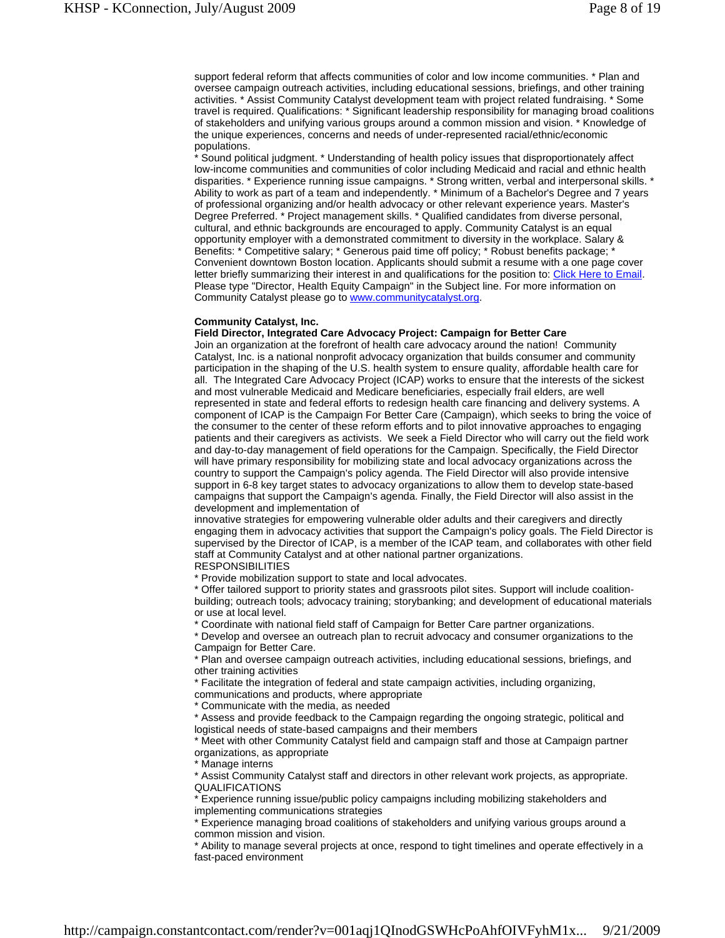support federal reform that affects communities of color and low income communities. \* Plan and oversee campaign outreach activities, including educational sessions, briefings, and other training activities. \* Assist Community Catalyst development team with project related fundraising. \* Some travel is required. Qualifications: \* Significant leadership responsibility for managing broad coalitions of stakeholders and unifying various groups around a common mission and vision. \* Knowledge of the unique experiences, concerns and needs of under-represented racial/ethnic/economic populations.

Sound political judgment. \* Understanding of health policy issues that disproportionately affect low-income communities and communities of color including Medicaid and racial and ethnic health disparities. \* Experience running issue campaigns. \* Strong written, verbal and interpersonal skills. \* Ability to work as part of a team and independently. \* Minimum of a Bachelor's Degree and 7 years of professional organizing and/or health advocacy or other relevant experience years. Master's Degree Preferred. \* Project management skills. \* Qualified candidates from diverse personal, cultural, and ethnic backgrounds are encouraged to apply. Community Catalyst is an equal opportunity employer with a demonstrated commitment to diversity in the workplace. Salary & Benefits: \* Competitive salary; \* Generous paid time off policy; \* Robust benefits package; Convenient downtown Boston location. Applicants should submit a resume with a one page cover letter briefly summarizing their interest in and qualifications for the position to: Click Here to Email. Please type "Director, Health Equity Campaign" in the Subject line. For more information on Community Catalyst please go to www.communitycatalyst.org.

## **Community Catalyst, Inc.**

## **Field Director, Integrated Care Advocacy Project: Campaign for Better Care**

Join an organization at the forefront of health care advocacy around the nation! Community Catalyst, Inc. is a national nonprofit advocacy organization that builds consumer and community participation in the shaping of the U.S. health system to ensure quality, affordable health care for all. The Integrated Care Advocacy Project (ICAP) works to ensure that the interests of the sickest and most vulnerable Medicaid and Medicare beneficiaries, especially frail elders, are well represented in state and federal efforts to redesign health care financing and delivery systems. A component of ICAP is the Campaign For Better Care (Campaign), which seeks to bring the voice of the consumer to the center of these reform efforts and to pilot innovative approaches to engaging patients and their caregivers as activists. We seek a Field Director who will carry out the field work and day-to-day management of field operations for the Campaign. Specifically, the Field Director will have primary responsibility for mobilizing state and local advocacy organizations across the country to support the Campaign's policy agenda. The Field Director will also provide intensive support in 6-8 key target states to advocacy organizations to allow them to develop state-based campaigns that support the Campaign's agenda. Finally, the Field Director will also assist in the development and implementation of

innovative strategies for empowering vulnerable older adults and their caregivers and directly engaging them in advocacy activities that support the Campaign's policy goals. The Field Director is supervised by the Director of ICAP, is a member of the ICAP team, and collaborates with other field staff at Community Catalyst and at other national partner organizations.

RESPONSIBILITIES

\* Provide mobilization support to state and local advocates.

\* Offer tailored support to priority states and grassroots pilot sites. Support will include coalitionbuilding; outreach tools; advocacy training; storybanking; and development of educational materials or use at local level.

\* Coordinate with national field staff of Campaign for Better Care partner organizations.

\* Develop and oversee an outreach plan to recruit advocacy and consumer organizations to the Campaign for Better Care.

\* Plan and oversee campaign outreach activities, including educational sessions, briefings, and other training activities

\* Facilitate the integration of federal and state campaign activities, including organizing, communications and products, where appropriate

\* Communicate with the media, as needed

\* Assess and provide feedback to the Campaign regarding the ongoing strategic, political and logistical needs of state-based campaigns and their members

\* Meet with other Community Catalyst field and campaign staff and those at Campaign partner organizations, as appropriate

Manage interns

\* Assist Community Catalyst staff and directors in other relevant work projects, as appropriate. QUALIFICATIONS

Experience running issue/public policy campaigns including mobilizing stakeholders and implementing communications strategies

\* Experience managing broad coalitions of stakeholders and unifying various groups around a common mission and vision.

Ability to manage several projects at once, respond to tight timelines and operate effectively in a fast-paced environment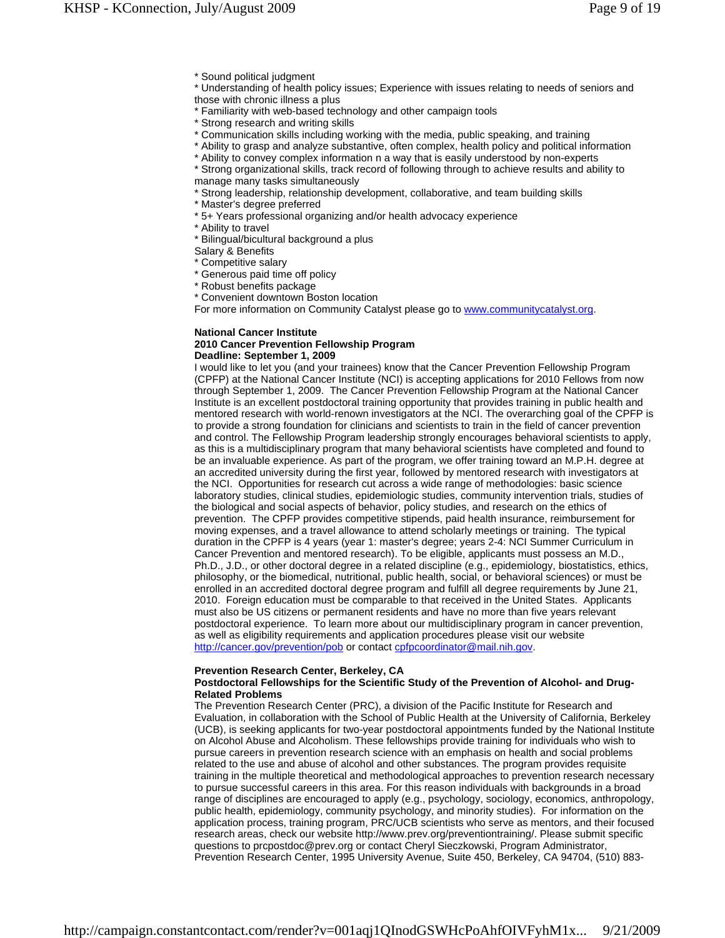- \* Sound political judgment
- \* Understanding of health policy issues; Experience with issues relating to needs of seniors and those with chronic illness a plus
- \* Familiarity with web-based technology and other campaign tools
- \* Strong research and writing skills
- \* Communication skills including working with the media, public speaking, and training
- \* Ability to grasp and analyze substantive, often complex, health policy and political information
- \* Ability to convey complex information n a way that is easily understood by non-experts
- \* Strong organizational skills, track record of following through to achieve results and ability to manage many tasks simultaneously
- \* Strong leadership, relationship development, collaborative, and team building skills
- \* Master's degree preferred
- \* 5+ Years professional organizing and/or health advocacy experience
- \* Ability to travel
- Bilingual/bicultural background a plus
- Salary & Benefits
- Competitive salary
- \* Generous paid time off policy
- \* Robust benefits package
- \* Convenient downtown Boston location
- For more information on Community Catalyst please go to www.communitycatalyst.org.

## **National Cancer Institute 2010 Cancer Prevention Fellowship Program Deadline: September 1, 2009**

I would like to let you (and your trainees) know that the Cancer Prevention Fellowship Program (CPFP) at the National Cancer Institute (NCI) is accepting applications for 2010 Fellows from now through September 1, 2009. The Cancer Prevention Fellowship Program at the National Cancer Institute is an excellent postdoctoral training opportunity that provides training in public health and mentored research with world-renown investigators at the NCI. The overarching goal of the CPFP is to provide a strong foundation for clinicians and scientists to train in the field of cancer prevention and control. The Fellowship Program leadership strongly encourages behavioral scientists to apply, as this is a multidisciplinary program that many behavioral scientists have completed and found to be an invaluable experience. As part of the program, we offer training toward an M.P.H. degree at an accredited university during the first year, followed by mentored research with investigators at the NCI. Opportunities for research cut across a wide range of methodologies: basic science laboratory studies, clinical studies, epidemiologic studies, community intervention trials, studies of the biological and social aspects of behavior, policy studies, and research on the ethics of prevention. The CPFP provides competitive stipends, paid health insurance, reimbursement for moving expenses, and a travel allowance to attend scholarly meetings or training. The typical duration in the CPFP is 4 years (year 1: master's degree; years 2-4: NCI Summer Curriculum in Cancer Prevention and mentored research). To be eligible, applicants must possess an M.D., Ph.D., J.D., or other doctoral degree in a related discipline (e.g., epidemiology, biostatistics, ethics, philosophy, or the biomedical, nutritional, public health, social, or behavioral sciences) or must be enrolled in an accredited doctoral degree program and fulfill all degree requirements by June 21, 2010. Foreign education must be comparable to that received in the United States. Applicants must also be US citizens or permanent residents and have no more than five years relevant postdoctoral experience. To learn more about our multidisciplinary program in cancer prevention, as well as eligibility requirements and application procedures please visit our website http://cancer.gov/prevention/pob or contact cpfpcoordinator@mail.nih.gov.

## **Prevention Research Center, Berkeley, CA**

#### **Postdoctoral Fellowships for the Scientific Study of the Prevention of Alcohol- and Drug-Related Problems**

The Prevention Research Center (PRC), a division of the Pacific Institute for Research and Evaluation, in collaboration with the School of Public Health at the University of California, Berkeley (UCB), is seeking applicants for two-year postdoctoral appointments funded by the National Institute on Alcohol Abuse and Alcoholism. These fellowships provide training for individuals who wish to pursue careers in prevention research science with an emphasis on health and social problems related to the use and abuse of alcohol and other substances. The program provides requisite training in the multiple theoretical and methodological approaches to prevention research necessary to pursue successful careers in this area. For this reason individuals with backgrounds in a broad range of disciplines are encouraged to apply (e.g., psychology, sociology, economics, anthropology, public health, epidemiology, community psychology, and minority studies). For information on the application process, training program, PRC/UCB scientists who serve as mentors, and their focused research areas, check our website http://www.prev.org/preventiontraining/. Please submit specific questions to prcpostdoc@prev.org or contact Cheryl Sieczkowski, Program Administrator, Prevention Research Center, 1995 University Avenue, Suite 450, Berkeley, CA 94704, (510) 883-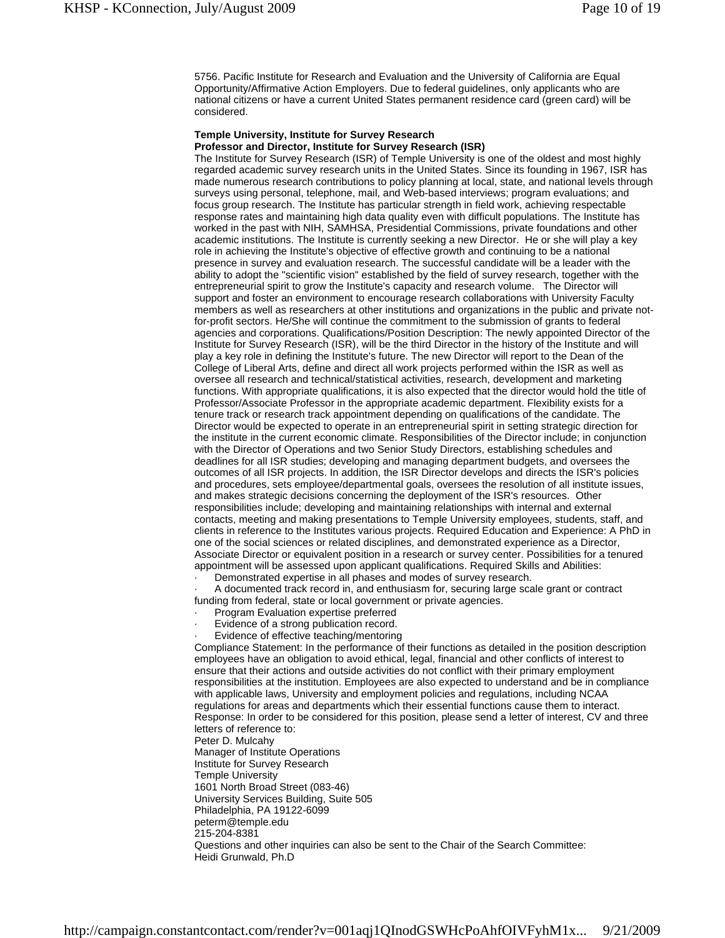5756. Pacific Institute for Research and Evaluation and the University of California are Equal Opportunity/Affirmative Action Employers. Due to federal guidelines, only applicants who are national citizens or have a current United States permanent residence card (green card) will be considered.

#### **Temple University, Institute for Survey Research Professor and Director, Institute for Survey Research (ISR)**

The Institute for Survey Research (ISR) of Temple University is one of the oldest and most highly regarded academic survey research units in the United States. Since its founding in 1967, ISR has made numerous research contributions to policy planning at local, state, and national levels through surveys using personal, telephone, mail, and Web-based interviews; program evaluations; and focus group research. The Institute has particular strength in field work, achieving respectable response rates and maintaining high data quality even with difficult populations. The Institute has worked in the past with NIH, SAMHSA, Presidential Commissions, private foundations and other academic institutions. The Institute is currently seeking a new Director. He or she will play a key role in achieving the Institute's objective of effective growth and continuing to be a national presence in survey and evaluation research. The successful candidate will be a leader with the ability to adopt the "scientific vision" established by the field of survey research, together with the entrepreneurial spirit to grow the Institute's capacity and research volume. The Director will support and foster an environment to encourage research collaborations with University Faculty members as well as researchers at other institutions and organizations in the public and private notfor-profit sectors. He/She will continue the commitment to the submission of grants to federal agencies and corporations. Qualifications/Position Description: The newly appointed Director of the Institute for Survey Research (ISR), will be the third Director in the history of the Institute and will play a key role in defining the Institute's future. The new Director will report to the Dean of the College of Liberal Arts, define and direct all work projects performed within the ISR as well as oversee all research and technical/statistical activities, research, development and marketing functions. With appropriate qualifications, it is also expected that the director would hold the title of Professor/Associate Professor in the appropriate academic department. Flexibility exists for a tenure track or research track appointment depending on qualifications of the candidate. The Director would be expected to operate in an entrepreneurial spirit in setting strategic direction for the institute in the current economic climate. Responsibilities of the Director include; in conjunction with the Director of Operations and two Senior Study Directors, establishing schedules and deadlines for all ISR studies; developing and managing department budgets, and oversees the outcomes of all ISR projects. In addition, the ISR Director develops and directs the ISR's policies and procedures, sets employee/departmental goals, oversees the resolution of all institute issues, and makes strategic decisions concerning the deployment of the ISR's resources. Other responsibilities include; developing and maintaining relationships with internal and external contacts, meeting and making presentations to Temple University employees, students, staff, and clients in reference to the Institutes various projects. Required Education and Experience: A PhD in one of the social sciences or related disciplines, and demonstrated experience as a Director, Associate Director or equivalent position in a research or survey center. Possibilities for a tenured appointment will be assessed upon applicant qualifications. Required Skills and Abilities:

Demonstrated expertise in all phases and modes of survey research.

· A documented track record in, and enthusiasm for, securing large scale grant or contract funding from federal, state or local government or private agencies.

- · Program Evaluation expertise preferred
- Evidence of a strong publication record.
- Evidence of effective teaching/mentoring

Compliance Statement: In the performance of their functions as detailed in the position description employees have an obligation to avoid ethical, legal, financial and other conflicts of interest to ensure that their actions and outside activities do not conflict with their primary employment responsibilities at the institution. Employees are also expected to understand and be in compliance with applicable laws, University and employment policies and regulations, including NCAA regulations for areas and departments which their essential functions cause them to interact. Response: In order to be considered for this position, please send a letter of interest, CV and three letters of reference to: Peter D. Mulcahy Manager of Institute Operations Institute for Survey Research Temple University 1601 North Broad Street (083-46) University Services Building, Suite 505 Philadelphia, PA 19122-6099 peterm@temple.edu 215-204-8381 Questions and other inquiries can also be sent to the Chair of the Search Committee: Heidi Grunwald, Ph.D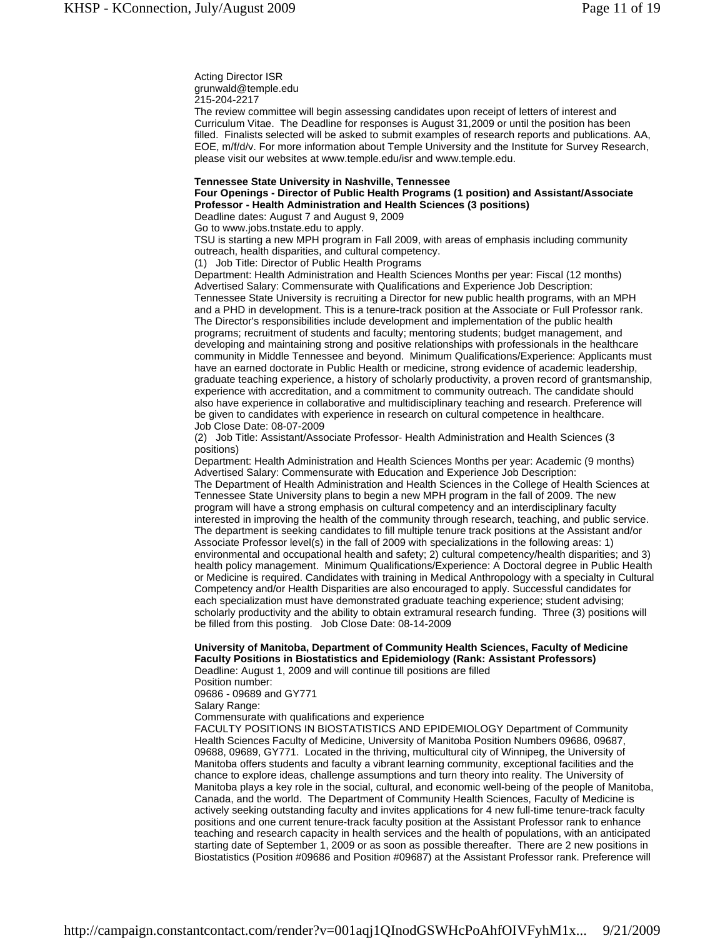Acting Director ISR grunwald@temple.edu 215-204-2217

The review committee will begin assessing candidates upon receipt of letters of interest and Curriculum Vitae. The Deadline for responses is August 31,2009 or until the position has been filled. Finalists selected will be asked to submit examples of research reports and publications. AA, EOE, m/f/d/v. For more information about Temple University and the Institute for Survey Research, please visit our websites at www.temple.edu/isr and www.temple.edu.

#### **Tennessee State University in Nashville, Tennessee**

## **Four Openings - Director of Public Health Programs (1 position) and Assistant/Associate Professor - Health Administration and Health Sciences (3 positions)**

Deadline dates: August 7 and August 9, 2009

Go to www.jobs.tnstate.edu to apply.

TSU is starting a new MPH program in Fall 2009, with areas of emphasis including community outreach, health disparities, and cultural competency.

(1) Job Title: Director of Public Health Programs

Department: Health Administration and Health Sciences Months per year: Fiscal (12 months) Advertised Salary: Commensurate with Qualifications and Experience Job Description: Tennessee State University is recruiting a Director for new public health programs, with an MPH and a PHD in development. This is a tenure-track position at the Associate or Full Professor rank. The Director's responsibilities include development and implementation of the public health programs; recruitment of students and faculty; mentoring students; budget management, and developing and maintaining strong and positive relationships with professionals in the healthcare community in Middle Tennessee and beyond. Minimum Qualifications/Experience: Applicants must have an earned doctorate in Public Health or medicine, strong evidence of academic leadership, graduate teaching experience, a history of scholarly productivity, a proven record of grantsmanship, experience with accreditation, and a commitment to community outreach. The candidate should also have experience in collaborative and multidisciplinary teaching and research. Preference will be given to candidates with experience in research on cultural competence in healthcare. Job Close Date: 08-07-2009

(2) Job Title: Assistant/Associate Professor- Health Administration and Health Sciences (3 positions)

Department: Health Administration and Health Sciences Months per year: Academic (9 months) Advertised Salary: Commensurate with Education and Experience Job Description: The Department of Health Administration and Health Sciences in the College of Health Sciences at Tennessee State University plans to begin a new MPH program in the fall of 2009. The new program will have a strong emphasis on cultural competency and an interdisciplinary faculty interested in improving the health of the community through research, teaching, and public service. The department is seeking candidates to fill multiple tenure track positions at the Assistant and/or Associate Professor level(s) in the fall of 2009 with specializations in the following areas: 1) environmental and occupational health and safety; 2) cultural competency/health disparities; and 3) health policy management. Minimum Qualifications/Experience: A Doctoral degree in Public Health or Medicine is required. Candidates with training in Medical Anthropology with a specialty in Cultural Competency and/or Health Disparities are also encouraged to apply. Successful candidates for each specialization must have demonstrated graduate teaching experience; student advising; scholarly productivity and the ability to obtain extramural research funding. Three (3) positions will be filled from this posting. Job Close Date: 08-14-2009

## **University of Manitoba, Department of Community Health Sciences, Faculty of Medicine Faculty Positions in Biostatistics and Epidemiology (Rank: Assistant Professors)**

Deadline: August 1, 2009 and will continue till positions are filled Position number:

09686 - 09689 and GY771

Salary Range:

Commensurate with qualifications and experience

FACULTY POSITIONS IN BIOSTATISTICS AND EPIDEMIOLOGY Department of Community Health Sciences Faculty of Medicine, University of Manitoba Position Numbers 09686, 09687, 09688, 09689, GY771. Located in the thriving, multicultural city of Winnipeg, the University of Manitoba offers students and faculty a vibrant learning community, exceptional facilities and the chance to explore ideas, challenge assumptions and turn theory into reality. The University of Manitoba plays a key role in the social, cultural, and economic well-being of the people of Manitoba, Canada, and the world. The Department of Community Health Sciences, Faculty of Medicine is actively seeking outstanding faculty and invites applications for 4 new full-time tenure-track faculty positions and one current tenure-track faculty position at the Assistant Professor rank to enhance teaching and research capacity in health services and the health of populations, with an anticipated starting date of September 1, 2009 or as soon as possible thereafter. There are 2 new positions in Biostatistics (Position #09686 and Position #09687) at the Assistant Professor rank. Preference will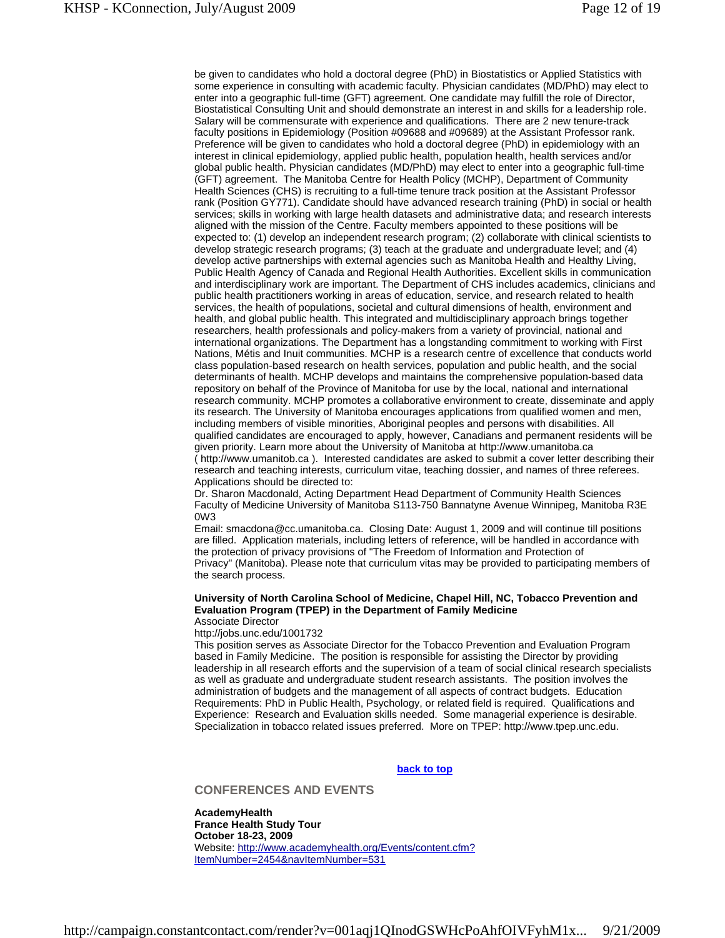be given to candidates who hold a doctoral degree (PhD) in Biostatistics or Applied Statistics with some experience in consulting with academic faculty. Physician candidates (MD/PhD) may elect to enter into a geographic full-time (GFT) agreement. One candidate may fulfill the role of Director, Biostatistical Consulting Unit and should demonstrate an interest in and skills for a leadership role. Salary will be commensurate with experience and qualifications. There are 2 new tenure-track faculty positions in Epidemiology (Position #09688 and #09689) at the Assistant Professor rank. Preference will be given to candidates who hold a doctoral degree (PhD) in epidemiology with an interest in clinical epidemiology, applied public health, population health, health services and/or global public health. Physician candidates (MD/PhD) may elect to enter into a geographic full-time (GFT) agreement. The Manitoba Centre for Health Policy (MCHP), Department of Community Health Sciences (CHS) is recruiting to a full-time tenure track position at the Assistant Professor rank (Position GY771). Candidate should have advanced research training (PhD) in social or health services; skills in working with large health datasets and administrative data; and research interests aligned with the mission of the Centre. Faculty members appointed to these positions will be expected to: (1) develop an independent research program; (2) collaborate with clinical scientists to develop strategic research programs; (3) teach at the graduate and undergraduate level; and (4) develop active partnerships with external agencies such as Manitoba Health and Healthy Living, Public Health Agency of Canada and Regional Health Authorities. Excellent skills in communication and interdisciplinary work are important. The Department of CHS includes academics, clinicians and public health practitioners working in areas of education, service, and research related to health services, the health of populations, societal and cultural dimensions of health, environment and health, and global public health. This integrated and multidisciplinary approach brings together researchers, health professionals and policy-makers from a variety of provincial, national and international organizations. The Department has a longstanding commitment to working with First Nations, Métis and Inuit communities. MCHP is a research centre of excellence that conducts world class population-based research on health services, population and public health, and the social determinants of health. MCHP develops and maintains the comprehensive population-based data repository on behalf of the Province of Manitoba for use by the local, national and international research community. MCHP promotes a collaborative environment to create, disseminate and apply its research. The University of Manitoba encourages applications from qualified women and men, including members of visible minorities, Aboriginal peoples and persons with disabilities. All qualified candidates are encouraged to apply, however, Canadians and permanent residents will be given priority. Learn more about the University of Manitoba at http://www.umanitoba.ca ( http://www.umanitob.ca ). Interested candidates are asked to submit a cover letter describing their research and teaching interests, curriculum vitae, teaching dossier, and names of three referees. Applications should be directed to:

Dr. Sharon Macdonald, Acting Department Head Department of Community Health Sciences Faculty of Medicine University of Manitoba S113-750 Bannatyne Avenue Winnipeg, Manitoba R3E 0W3

Email: smacdona@cc.umanitoba.ca. Closing Date: August 1, 2009 and will continue till positions are filled. Application materials, including letters of reference, will be handled in accordance with the protection of privacy provisions of "The Freedom of Information and Protection of Privacy" (Manitoba). Please note that curriculum vitas may be provided to participating members of the search process.

#### **University of North Carolina School of Medicine, Chapel Hill, NC, Tobacco Prevention and Evaluation Program (TPEP) in the Department of Family Medicine**  Associate Director

#### http://jobs.unc.edu/1001732

This position serves as Associate Director for the Tobacco Prevention and Evaluation Program based in Family Medicine. The position is responsible for assisting the Director by providing leadership in all research efforts and the supervision of a team of social clinical research specialists as well as graduate and undergraduate student research assistants. The position involves the administration of budgets and the management of all aspects of contract budgets. Education Requirements: PhD in Public Health, Psychology, or related field is required. Qualifications and Experience: Research and Evaluation skills needed. Some managerial experience is desirable. Specialization in tobacco related issues preferred. More on TPEP: http://www.tpep.unc.edu.

#### **back to top**

## **CONFERENCES AND EVENTS**

**AcademyHealth France Health Study Tour October 18-23, 2009** Website: http://www.academyhealth.org/Events/content.cfm? ItemNumber=2454&navItemNumber=531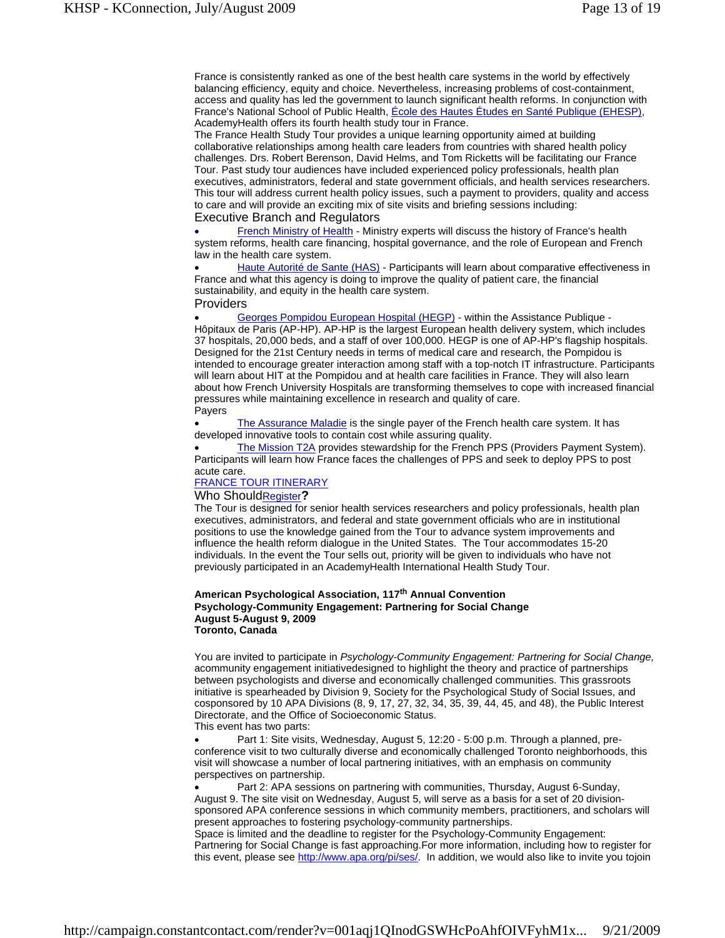France is consistently ranked as one of the best health care systems in the world by effectively balancing efficiency, equity and choice. Nevertheless, increasing problems of cost-containment, access and quality has led the government to launch significant health reforms. In conjunction with France's National School of Public Health, École des Hautes Études en Santé Publique (EHESP), AcademyHealth offers its fourth health study tour in France.

The France Health Study Tour provides a unique learning opportunity aimed at building collaborative relationships among health care leaders from countries with shared health policy challenges. Drs. Robert Berenson, David Helms, and Tom Ricketts will be facilitating our France Tour. Past study tour audiences have included experienced policy professionals, health plan executives, administrators, federal and state government officials, and health services researchers. This tour will address current health policy issues, such a payment to providers, quality and access to care and will provide an exciting mix of site visits and briefing sessions including: Executive Branch and Regulators

 French Ministry of Health - Ministry experts will discuss the history of France's health system reforms, health care financing, hospital governance, and the role of European and French law in the health care system.

 Haute Autorité de Sante (HAS) - Participants will learn about comparative effectiveness in France and what this agency is doing to improve the quality of patient care, the financial sustainability, and equity in the health care system.

Providers

 Georges Pompidou European Hospital (HEGP) - within the Assistance Publique - Hôpitaux de Paris (AP-HP). AP-HP is the largest European health delivery system, which includes 37 hospitals, 20,000 beds, and a staff of over 100,000. HEGP is one of AP-HP's flagship hospitals. Designed for the 21st Century needs in terms of medical care and research, the Pompidou is intended to encourage greater interaction among staff with a top-notch IT infrastructure. Participants will learn about HIT at the Pompidou and at health care facilities in France. They will also learn about how French University Hospitals are transforming themselves to cope with increased financial pressures while maintaining excellence in research and quality of care. Payers

The Assurance Maladie is the single payer of the French health care system. It has developed innovative tools to contain cost while assuring quality.

 The Mission T2A provides stewardship for the French PPS (Providers Payment System). Participants will learn how France faces the challenges of PPS and seek to deploy PPS to post acute care.

#### FRANCE TOUR ITINERARY

#### Who ShouldRegister**?**

The Tour is designed for senior health services researchers and policy professionals, health plan executives, administrators, and federal and state government officials who are in institutional positions to use the knowledge gained from the Tour to advance system improvements and influence the health reform dialogue in the United States. The Tour accommodates 15-20 individuals. In the event the Tour sells out, priority will be given to individuals who have not previously participated in an AcademyHealth International Health Study Tour.

#### **American Psychological Association, 117th Annual Convention Psychology-Community Engagement: Partnering for Social Change August 5-August 9, 2009 Toronto, Canada**

You are invited to participate in *Psychology-Community Engagement: Partnering for Social Change,* acommunity engagement initiativedesigned to highlight the theory and practice of partnerships between psychologists and diverse and economically challenged communities. This grassroots initiative is spearheaded by Division 9, Society for the Psychological Study of Social Issues, and cosponsored by 10 APA Divisions (8, 9, 17, 27, 32, 34, 35, 39, 44, 45, and 48), the Public Interest Directorate, and the Office of Socioeconomic Status. This event has two parts:

 Part 1: Site visits, Wednesday, August 5, 12:20 - 5:00 p.m. Through a planned, preconference visit to two culturally diverse and economically challenged Toronto neighborhoods, this visit will showcase a number of local partnering initiatives, with an emphasis on community perspectives on partnership.

 Part 2: APA sessions on partnering with communities, Thursday, August 6-Sunday, August 9. The site visit on Wednesday, August 5, will serve as a basis for a set of 20 divisionsponsored APA conference sessions in which community members, practitioners, and scholars will present approaches to fostering psychology-community partnerships.

Space is limited and the deadline to register for the Psychology-Community Engagement: Partnering for Social Change is fast approaching.For more information, including how to register for this event, please see http://www.apa.org/pi/ses/. In addition, we would also like to invite you tojoin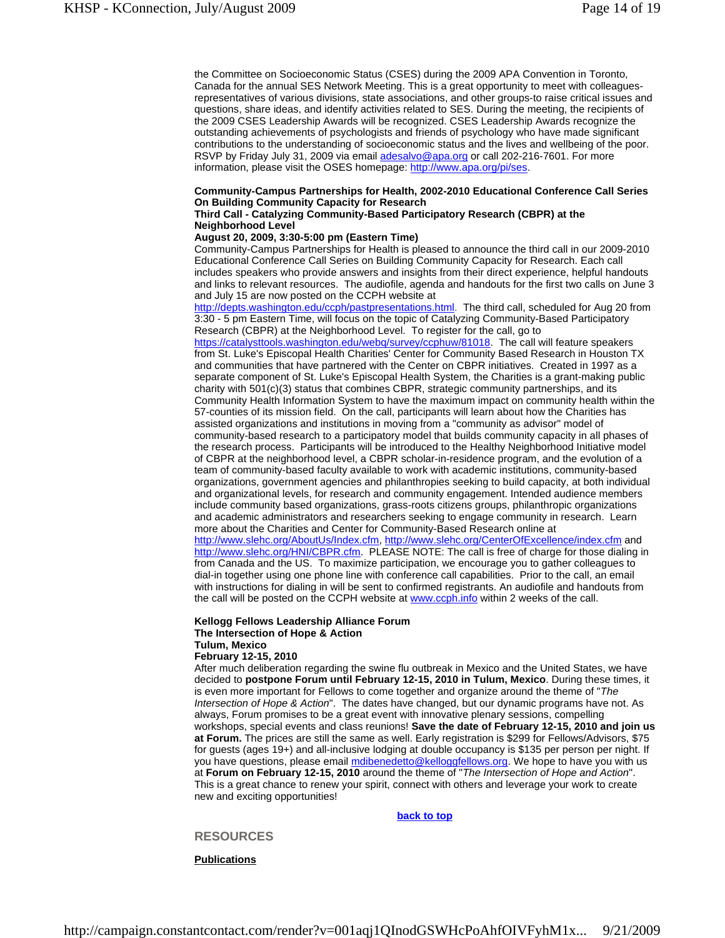the Committee on Socioeconomic Status (CSES) during the 2009 APA Convention in Toronto, Canada for the annual SES Network Meeting. This is a great opportunity to meet with colleaguesrepresentatives of various divisions, state associations, and other groups-to raise critical issues and questions, share ideas, and identify activities related to SES. During the meeting, the recipients of the 2009 CSES Leadership Awards will be recognized. CSES Leadership Awards recognize the outstanding achievements of psychologists and friends of psychology who have made significant contributions to the understanding of socioeconomic status and the lives and wellbeing of the poor. RSVP by Friday July 31, 2009 via email adesalvo@apa.org or call 202-216-7601. For more information, please visit the OSES homepage: http://www.apa.org/pi/ses.

#### **Community-Campus Partnerships for Health, 2002-2010 Educational Conference Call Series On Building Community Capacity for Research**

#### **Third Call - Catalyzing Community-Based Participatory Research (CBPR) at the Neighborhood Level**

#### **August 20, 2009, 3:30-5:00 pm (Eastern Time)**

Community-Campus Partnerships for Health is pleased to announce the third call in our 2009-2010 Educational Conference Call Series on Building Community Capacity for Research. Each call includes speakers who provide answers and insights from their direct experience, helpful handouts and links to relevant resources. The audiofile, agenda and handouts for the first two calls on June 3 and July 15 are now posted on the CCPH website at

http://depts.washington.edu/ccph/pastpresentations.html. The third call, scheduled for Aug 20 from 3:30 - 5 pm Eastern Time, will focus on the topic of Catalyzing Community-Based Participatory Research (CBPR) at the Neighborhood Level. To register for the call, go to

https://catalysttools.washington.edu/webq/survey/ccphuw/81018. The call will feature speakers from St. Luke's Episcopal Health Charities' Center for Community Based Research in Houston TX and communities that have partnered with the Center on CBPR initiatives. Created in 1997 as a separate component of St. Luke's Episcopal Health System, the Charities is a grant-making public charity with 501(c)(3) status that combines CBPR, strategic community partnerships, and its Community Health Information System to have the maximum impact on community health within the 57-counties of its mission field. On the call, participants will learn about how the Charities has assisted organizations and institutions in moving from a "community as advisor" model of community-based research to a participatory model that builds community capacity in all phases of the research process. Participants will be introduced to the Healthy Neighborhood Initiative model of CBPR at the neighborhood level, a CBPR scholar-in-residence program, and the evolution of a team of community-based faculty available to work with academic institutions, community-based organizations, government agencies and philanthropies seeking to build capacity, at both individual and organizational levels, for research and community engagement. Intended audience members include community based organizations, grass-roots citizens groups, philanthropic organizations and academic administrators and researchers seeking to engage community in research. Learn more about the Charities and Center for Community-Based Research online at http://www.slehc.org/AboutUs/Index.cfm, http://www.slehc.org/CenterOfExcellence/index.cfm and http://www.slehc.org/HNI/CBPR.cfm. PLEASE NOTE: The call is free of charge for those dialing in from Canada and the US. To maximize participation, we encourage you to gather colleagues to dial-in together using one phone line with conference call capabilities. Prior to the call, an email with instructions for dialing in will be sent to confirmed registrants. An audiofile and handouts from the call will be posted on the CCPH website at www.ccph.info within 2 weeks of the call.

## **Kellogg Fellows Leadership Alliance Forum The Intersection of Hope & Action**

**Tulum, Mexico**

## **February 12-15, 2010**

After much deliberation regarding the swine flu outbreak in Mexico and the United States, we have decided to **postpone Forum until February 12-15, 2010 in Tulum, Mexico**. During these times, it is even more important for Fellows to come together and organize around the theme of "*The Intersection of Hope & Action*". The dates have changed, but our dynamic programs have not. As always, Forum promises to be a great event with innovative plenary sessions, compelling workshops, special events and class reunions! **Save the date of February 12-15, 2010 and join us at Forum.** The prices are still the same as well. Early registration is \$299 for Fellows/Advisors, \$75 for guests (ages 19+) and all-inclusive lodging at double occupancy is \$135 per person per night. If you have questions, please email mdibenedetto@kelloggfellows.org. We hope to have you with us at **Forum on February 12-15, 2010** around the theme of "*The Intersection of Hope and Action*". This is a great chance to renew your spirit, connect with others and leverage your work to create new and exciting opportunities!

**back to top**

#### **RESOURCES**

**Publications**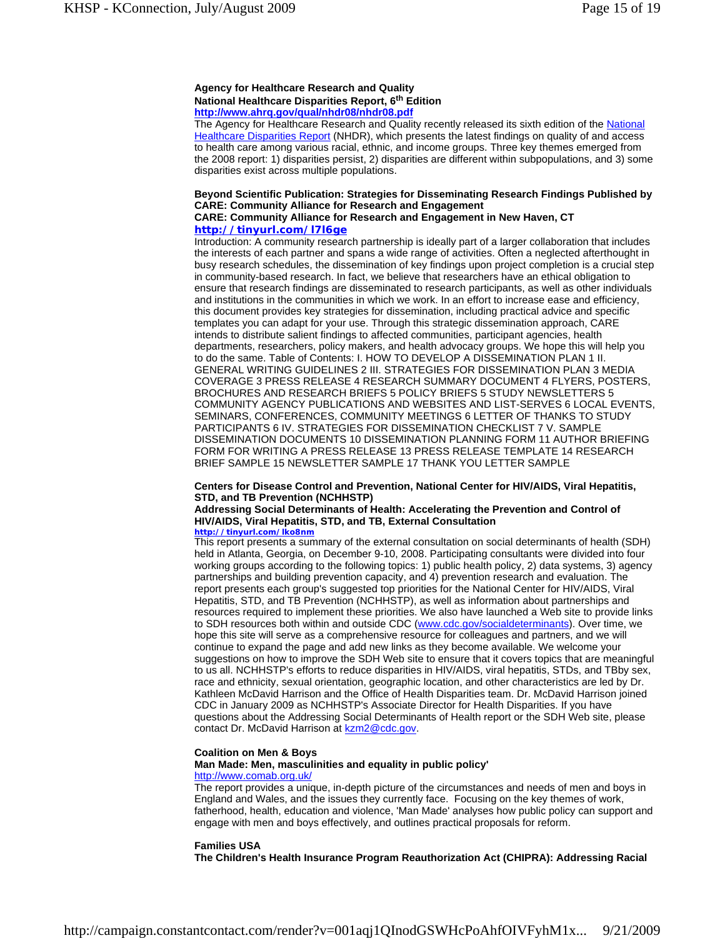#### **Agency for Healthcare Research and Quality National Healthcare Disparities Report, 6th Edition http://www.ahrq.gov/qual/nhdr08/nhdr08.pdf**

The Agency for Healthcare Research and Quality recently released its sixth edition of the National Healthcare Disparities Report (NHDR), which presents the latest findings on quality of and access to health care among various racial, ethnic, and income groups. Three key themes emerged from the 2008 report: 1) disparities persist, 2) disparities are different within subpopulations, and 3) some disparities exist across multiple populations.

#### **Beyond Scientific Publication: Strategies for Disseminating Research Findings Published by CARE: Community Alliance for Research and Engagement CARE: Community Alliance for Research and Engagement in New Haven, CT**

## **http://tinyurl.com/l7l6ge**

Introduction: A community research partnership is ideally part of a larger collaboration that includes the interests of each partner and spans a wide range of activities. Often a neglected afterthought in busy research schedules, the dissemination of key findings upon project completion is a crucial step in community-based research. In fact, we believe that researchers have an ethical obligation to ensure that research findings are disseminated to research participants, as well as other individuals and institutions in the communities in which we work. In an effort to increase ease and efficiency, this document provides key strategies for dissemination, including practical advice and specific templates you can adapt for your use. Through this strategic dissemination approach, CARE intends to distribute salient findings to affected communities, participant agencies, health departments, researchers, policy makers, and health advocacy groups. We hope this will help you to do the same. Table of Contents: I. HOW TO DEVELOP A DISSEMINATION PLAN 1 II. GENERAL WRITING GUIDELINES 2 III. STRATEGIES FOR DISSEMINATION PLAN 3 MEDIA COVERAGE 3 PRESS RELEASE 4 RESEARCH SUMMARY DOCUMENT 4 FLYERS, POSTERS, BROCHURES AND RESEARCH BRIEFS 5 POLICY BRIEFS 5 STUDY NEWSLETTERS 5 COMMUNITY AGENCY PUBLICATIONS AND WEBSITES AND LIST-SERVES 6 LOCAL EVENTS, SEMINARS, CONFERENCES, COMMUNITY MEETINGS 6 LETTER OF THANKS TO STUDY PARTICIPANTS 6 IV. STRATEGIES FOR DISSEMINATION CHECKLIST 7 V. SAMPLE DISSEMINATION DOCUMENTS 10 DISSEMINATION PLANNING FORM 11 AUTHOR BRIEFING FORM FOR WRITING A PRESS RELEASE 13 PRESS RELEASE TEMPLATE 14 RESEARCH BRIEF SAMPLE 15 NEWSLETTER SAMPLE 17 THANK YOU LETTER SAMPLE

## **Centers for Disease Control and Prevention, National Center for HIV/AIDS, Viral Hepatitis, STD, and TB Prevention (NCHHSTP)**

## **Addressing Social Determinants of Health: Accelerating the Prevention and Control of HIV/AIDS, Viral Hepatitis, STD, and TB, External Consultation**

#### **http://tinyurl.com/lko8nm**

This report presents a summary of the external consultation on social determinants of health (SDH) held in Atlanta, Georgia, on December 9-10, 2008. Participating consultants were divided into four working groups according to the following topics: 1) public health policy, 2) data systems, 3) agency partnerships and building prevention capacity, and 4) prevention research and evaluation. The report presents each group's suggested top priorities for the National Center for HIV/AIDS, Viral Hepatitis, STD, and TB Prevention (NCHHSTP), as well as information about partnerships and resources required to implement these priorities. We also have launched a Web site to provide links to SDH resources both within and outside CDC (www.cdc.gov/socialdeterminants). Over time, we hope this site will serve as a comprehensive resource for colleagues and partners, and we will continue to expand the page and add new links as they become available. We welcome your suggestions on how to improve the SDH Web site to ensure that it covers topics that are meaningful to us all. NCHHSTP's efforts to reduce disparities in HIV/AIDS, viral hepatitis, STDs, and TBby sex, race and ethnicity, sexual orientation, geographic location, and other characteristics are led by Dr. Kathleen McDavid Harrison and the Office of Health Disparities team. Dr. McDavid Harrison joined CDC in January 2009 as NCHHSTP's Associate Director for Health Disparities. If you have questions about the Addressing Social Determinants of Health report or the SDH Web site, please contact Dr. McDavid Harrison at kzm2@cdc.gov.

#### **Coalition on Men & Boys**

## **Man Made: Men, masculinities and equality in public policy'**

#### http://www.comab.org.uk/

The report provides a unique, in-depth picture of the circumstances and needs of men and boys in England and Wales, and the issues they currently face. Focusing on the key themes of work, fatherhood, health, education and violence, 'Man Made' analyses how public policy can support and engage with men and boys effectively, and outlines practical proposals for reform.

#### **Families USA**

**The Children's Health Insurance Program Reauthorization Act (CHIPRA): Addressing Racial**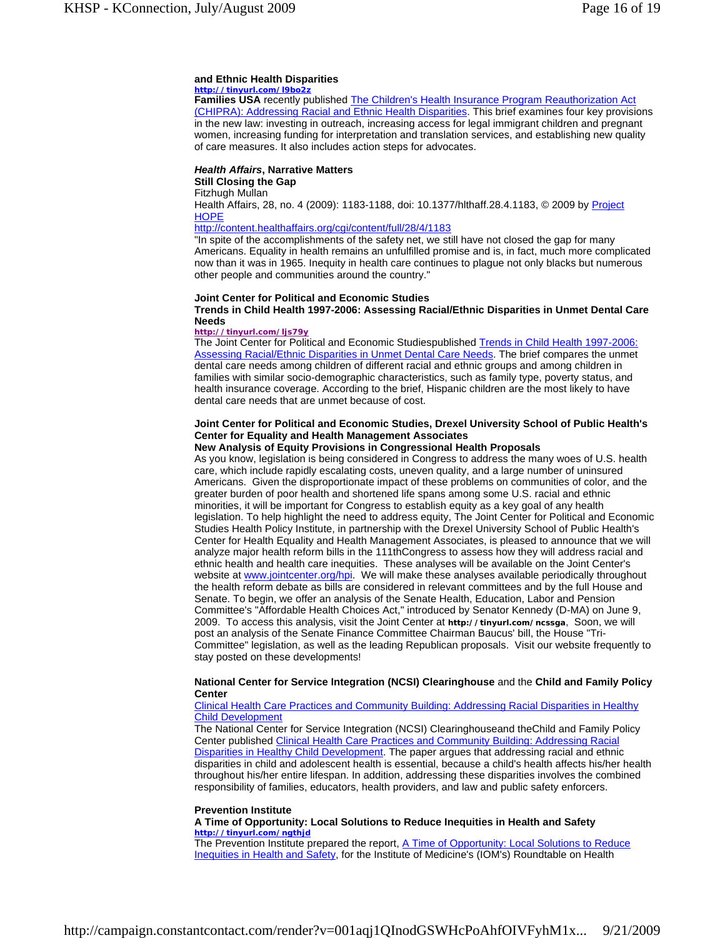## **and Ethnic Health Disparities**

## **http://tinyurl.com/l9bo2z**

**Families USA** recently published The Children's Health Insurance Program Reauthorization Act (CHIPRA): Addressing Racial and Ethnic Health Disparities. This brief examines four key provisions in the new law: investing in outreach, increasing access for legal immigrant children and pregnant women, increasing funding for interpretation and translation services, and establishing new quality of care measures. It also includes action steps for advocates.

## *Health Affairs***, Narrative Matters**

#### **Still Closing the Gap** Fitzhugh Mullan

Health Affairs, 28, no. 4 (2009): 1183-1188, doi: 10.1377/hlthaff. 28.4.1183, © 2009 by Project **HOPE** 

## http://content.healthaffairs.org/cgi/content/full/28/4/1183

"In spite of the accomplishments of the safety net, we still have not closed the gap for many Americans. Equality in health remains an unfulfilled promise and is, in fact, much more complicated now than it was in 1965. Inequity in health care continues to plague not only blacks but numerous other people and communities around the country."

## **Joint Center for Political and Economic Studies**

**Trends in Child Health 1997-2006: Assessing Racial/Ethnic Disparities in Unmet Dental Care Needs**

#### **http://tinyurl.com/ljs79y**

The Joint Center for Political and Economic Studiespublished Trends in Child Health 1997-2006: Assessing Racial/Ethnic Disparities in Unmet Dental Care Needs. The brief compares the unmet dental care needs among children of different racial and ethnic groups and among children in families with similar socio-demographic characteristics, such as family type, poverty status, and health insurance coverage. According to the brief, Hispanic children are the most likely to have dental care needs that are unmet because of cost.

#### **Joint Center for Political and Economic Studies, Drexel University School of Public Health's Center for Equality and Health Management Associates**

#### **New Analysis of Equity Provisions in Congressional Health Proposals**

As you know, legislation is being considered in Congress to address the many woes of U.S. health care, which include rapidly escalating costs, uneven quality, and a large number of uninsured Americans. Given the disproportionate impact of these problems on communities of color, and the greater burden of poor health and shortened life spans among some U.S. racial and ethnic minorities, it will be important for Congress to establish equity as a key goal of any health legislation. To help highlight the need to address equity, The Joint Center for Political and Economic Studies Health Policy Institute, in partnership with the Drexel University School of Public Health's Center for Health Equality and Health Management Associates, is pleased to announce that we will analyze major health reform bills in the 111thCongress to assess how they will address racial and ethnic health and health care inequities. These analyses will be available on the Joint Center's website at www.jointcenter.org/hpi. We will make these analyses available periodically throughout the health reform debate as bills are considered in relevant committees and by the full House and Senate. To begin, we offer an analysis of the Senate Health, Education, Labor and Pension Committee's "Affordable Health Choices Act," introduced by Senator Kennedy (D-MA) on June 9, 2009. To access this analysis, visit the Joint Center at **http://tinyurl.com/ncssga**, Soon, we will post an analysis of the Senate Finance Committee Chairman Baucus' bill, the House "Tri-Committee" legislation, as well as the leading Republican proposals. Visit our website frequently to stay posted on these developments!

## **National Center for Service Integration (NCSI) Clearinghouse** and the **Child and Family Policy Center**

#### Clinical Health Care Practices and Community Building: Addressing Racial Disparities in Healthy Child Development

The National Center for Service Integration (NCSI) Clearinghouseand theChild and Family Policy Center published Clinical Health Care Practices and Community Building: Addressing Racial Disparities in Healthy Child Development. The paper argues that addressing racial and ethnic disparities in child and adolescent health is essential, because a child's health affects his/her health throughout his/her entire lifespan. In addition, addressing these disparities involves the combined responsibility of families, educators, health providers, and law and public safety enforcers.

#### **Prevention Institute**

#### **A Time of Opportunity: Local Solutions to Reduce Inequities in Health and Safety http://tinyurl.com/ngthjd**

The Prevention Institute prepared the report, A Time of Opportunity: Local Solutions to Reduce Inequities in Health and Safety, for the Institute of Medicine's (IOM's) Roundtable on Health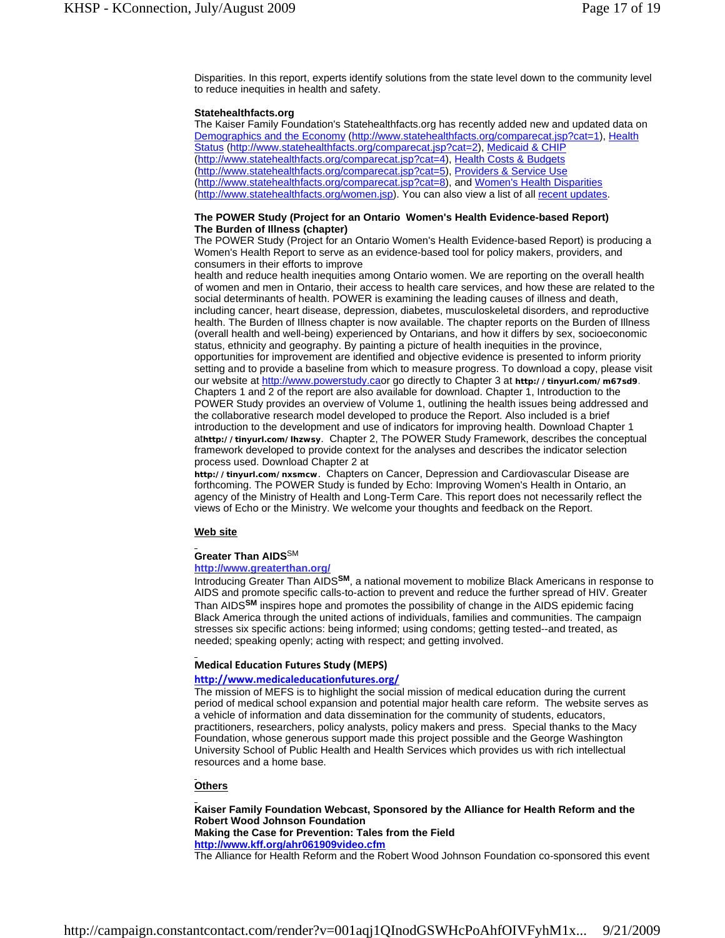Disparities. In this report, experts identify solutions from the state level down to the community level to reduce inequities in health and safety.

#### **Statehealthfacts.org**

The Kaiser Family Foundation's Statehealthfacts.org has recently added new and updated data on Demographics and the Economy (http://www.statehealthfacts.org/comparecat.jsp?cat=1), Health Status (http://www.statehealthfacts.org/comparecat.jsp?cat=2), Medicaid & CHIP (http://www.statehealthfacts.org/comparecat.jsp?cat=4), Health Costs & Budgets (http://www.statehealthfacts.org/comparecat.jsp?cat=5), Providers & Service Use (http://www.statehealthfacts.org/comparecat.jsp?cat=8), and Women's Health Disparities (http://www.statehealthfacts.org/women.jsp). You can also view a list of all recent updates.

#### **The POWER Study (Project for an Ontario Women's Health Evidence-based Report) The Burden of Illness (chapter)**

The POWER Study (Project for an Ontario Women's Health Evidence-based Report) is producing a Women's Health Report to serve as an evidence-based tool for policy makers, providers, and consumers in their efforts to improve

health and reduce health inequities among Ontario women. We are reporting on the overall health of women and men in Ontario, their access to health care services, and how these are related to the social determinants of health. POWER is examining the leading causes of illness and death, including cancer, heart disease, depression, diabetes, musculoskeletal disorders, and reproductive health. The Burden of Illness chapter is now available. The chapter reports on the Burden of Illness (overall health and well-being) experienced by Ontarians, and how it differs by sex, socioeconomic status, ethnicity and geography. By painting a picture of health inequities in the province, opportunities for improvement are identified and objective evidence is presented to inform priority setting and to provide a baseline from which to measure progress. To download a copy, please visit our website at http://www.powerstudy.caor go directly to Chapter 3 at **http://tinyurl.com/m67sd9**. Chapters 1 and 2 of the report are also available for download. Chapter 1, Introduction to the POWER Study provides an overview of Volume 1, outlining the health issues being addressed and the collaborative research model developed to produce the Report. Also included is a brief introduction to the development and use of indicators for improving health. Download Chapter 1 at**http://tinyurl.com/lhzwsy**. Chapter 2, The POWER Study Framework, describes the conceptual framework developed to provide context for the analyses and describes the indicator selection process used. Download Chapter 2 at

**http://tinyurl.com/nxsmcw**. Chapters on Cancer, Depression and Cardiovascular Disease are forthcoming. The POWER Study is funded by Echo: Improving Women's Health in Ontario, an agency of the Ministry of Health and Long-Term Care. This report does not necessarily reflect the views of Echo or the Ministry. We welcome your thoughts and feedback on the Report.

#### **Web site**

#### **Greater Than AIDS**SM

#### **http://www.greaterthan.org/**

Introducing Greater Than AIDS**SM**, a national movement to mobilize Black Americans in response to AIDS and promote specific calls-to-action to prevent and reduce the further spread of HIV. Greater Than AIDS**SM** inspires hope and promotes the possibility of change in the AIDS epidemic facing Black America through the united actions of individuals, families and communities. The campaign stresses six specific actions: being informed; using condoms; getting tested--and treated, as needed; speaking openly; acting with respect; and getting involved.

#### **Medical Education Futures Study (MEPS)**

## **http://www.medicaleducationfutures.org/**

The mission of MEFS is to highlight the social mission of medical education during the current period of medical school expansion and potential major health care reform. The website serves as a vehicle of information and data dissemination for the community of students, educators, practitioners, researchers, policy analysts, policy makers and press. Special thanks to the Macy Foundation, whose generous support made this project possible and the George Washington University School of Public Health and Health Services which provides us with rich intellectual resources and a home base.

#### **Others**

**Kaiser Family Foundation Webcast, Sponsored by the Alliance for Health Reform and the Robert Wood Johnson Foundation Making the Case for Prevention: Tales from the Field http://www.kff.org/ahr061909video.cfm**

The Alliance for Health Reform and the Robert Wood Johnson Foundation co-sponsored this event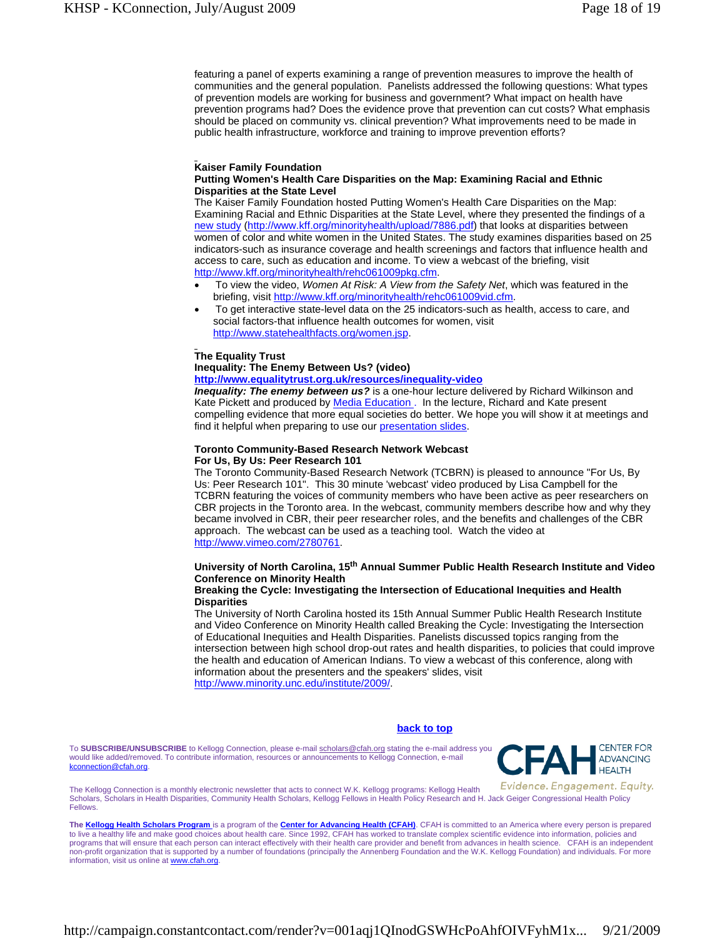featuring a panel of experts examining a range of prevention measures to improve the health of communities and the general population. Panelists addressed the following questions: What types of prevention models are working for business and government? What impact on health have prevention programs had? Does the evidence prove that prevention can cut costs? What emphasis should be placed on community vs. clinical prevention? What improvements need to be made in public health infrastructure, workforce and training to improve prevention efforts?

## **Kaiser Family Foundation**

## **Putting Women's Health Care Disparities on the Map: Examining Racial and Ethnic Disparities at the State Level**

The Kaiser Family Foundation hosted Putting Women's Health Care Disparities on the Map: Examining Racial and Ethnic Disparities at the State Level, where they presented the findings of a new study (http://www.kff.org/minorityhealth/upload/7886.pdf) that looks at disparities between women of color and white women in the United States. The study examines disparities based on 25 indicators-such as insurance coverage and health screenings and factors that influence health and access to care, such as education and income. To view a webcast of the briefing, visit http://www.kff.org/minorityhealth/rehc061009pkg.cfm.

- To view the video, *Women At Risk: A View from the Safety Net*, which was featured in the briefing, visit http://www.kff.org/minorityhealth/rehc061009vid.cfm.
- To get interactive state-level data on the 25 indicators-such as health, access to care, and social factors-that influence health outcomes for women, visit http://www.statehealthfacts.org/women.jsp.

#### **The Equality Trust**

**Inequality: The Enemy Between Us? (video)**

**http://www.equalitytrust.org.uk/resources/inequality-video**

**Inequality: The enemy between us?** is a one-hour lecture delivered by Richard Wilkinson and Kate Pickett and produced by Media Education . In the lecture, Richard and Kate present compelling evidence that more equal societies do better. We hope you will show it at meetings and find it helpful when preparing to use our presentation slides.

#### **Toronto Community-Based Research Network Webcast For Us, By Us: Peer Research 101**

The Toronto Community-Based Research Network (TCBRN) is pleased to announce "For Us, By Us: Peer Research 101". This 30 minute 'webcast' video produced by Lisa Campbell for the TCBRN featuring the voices of community members who have been active as peer researchers on CBR projects in the Toronto area. In the webcast, community members describe how and why they became involved in CBR, their peer researcher roles, and the benefits and challenges of the CBR approach. The webcast can be used as a teaching tool. Watch the video at http://www.vimeo.com/2780761.

## **University of North Carolina, 15th Annual Summer Public Health Research Institute and Video Conference on Minority Health**

#### **Breaking the Cycle: Investigating the Intersection of Educational Inequities and Health Disparities**

The University of North Carolina hosted its 15th Annual Summer Public Health Research Institute and Video Conference on Minority Health called Breaking the Cycle: Investigating the Intersection of Educational Inequities and Health Disparities. Panelists discussed topics ranging from the intersection between high school drop-out rates and health disparities, to policies that could improve the health and education of American Indians. To view a webcast of this conference, along with information about the presenters and the speakers' slides, visit http://www.minority.unc.edu/institute/2009/.

#### **back to top**

To **SUBSCRIBE/UNSUBSCRIBE** to Kellogg Connection, please e-mail scholars@cfah.org stating the e-mail address you would like added/removed. To contribute information, resources or announcements to Kellogg Connection, e-mail kconnection@cfah.org.



Evidence. Engagement. Equity. The Kellogg Connection is a monthly electronic newsletter that acts to connect W.K. Kellogg programs: Kellogg Health Scholars, Scholars in Health Disparities, Community Health Scholars, Kellogg Fellows in Health Policy Research and H. Jack Geiger Congressional Health Policy Fellows.

**The Kellogg Health Scholars Program** is a program of the **Center for Advancing Health (CFAH)**. CFAH is committed to an America where every person is prepared to live a healthy life and make good choices about health care. Since 1992, CFAH has worked to translate complex scientific evidence into information, policies and programs that will ensure that each person can interact effectively with their health care provider and benefit from advances in health science. CFAH is an independent non-profit organization that is supported by a number of foundations (principally the Annenberg Foundation and the W.K. Kellogg Foundation) and individuals. For more information, visit us online at **www.cfah.org**.